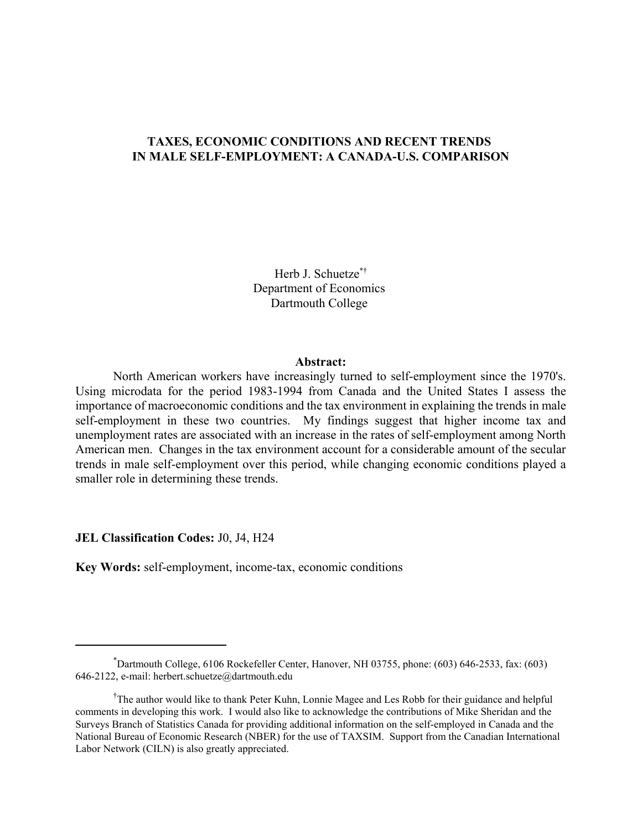# **TAXES, ECONOMIC CONDITIONS AND RECENT TRENDS IN MALE SELF-EMPLOYMENT: A CANADA-U.S. COMPARISON**

Herb J. Schuetze\*† Department of Economics Dartmouth College

## **Abstract:**

North American workers have increasingly turned to self-employment since the 1970's. Using microdata for the period 1983-1994 from Canada and the United States I assess the importance of macroeconomic conditions and the tax environment in explaining the trends in male self-employment in these two countries. My findings suggest that higher income tax and unemployment rates are associated with an increase in the rates of self-employment among North American men. Changes in the tax environment account for a considerable amount of the secular trends in male self-employment over this period, while changing economic conditions played a smaller role in determining these trends.

**JEL Classification Codes:** J0, J4, H24

**Key Words:** self-employment, income-tax, economic conditions

<sup>\*</sup> Dartmouth College, 6106 Rockefeller Center, Hanover, NH 03755, phone: (603) 646-2533, fax: (603) 646-2122, e-mail: herbert.schuetze@dartmouth.edu

<sup>&</sup>lt;sup>†</sup>The author would like to thank Peter Kuhn, Lonnie Magee and Les Robb for their guidance and helpful comments in developing this work. I would also like to acknowledge the contributions of Mike Sheridan and the Surveys Branch of Statistics Canada for providing additional information on the self-employed in Canada and the National Bureau of Economic Research (NBER) for the use of TAXSIM. Support from the Canadian International Labor Network (CILN) is also greatly appreciated.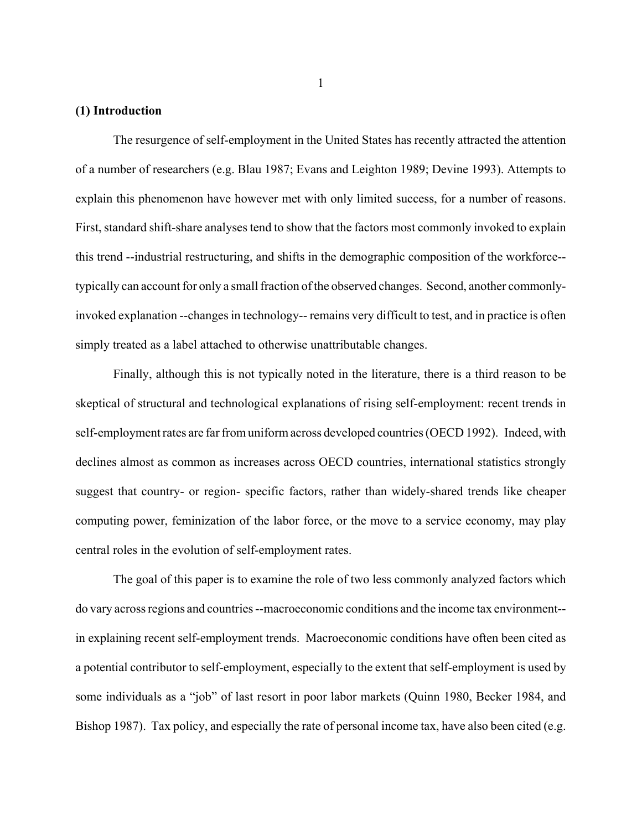# **(1) Introduction**

The resurgence of self-employment in the United States has recently attracted the attention of a number of researchers (e.g. Blau 1987; Evans and Leighton 1989; Devine 1993). Attempts to explain this phenomenon have however met with only limited success, for a number of reasons. First, standard shift-share analyses tend to show that the factors most commonly invoked to explain this trend --industrial restructuring, and shifts in the demographic composition of the workforce- typically can account for only a small fraction of the observed changes. Second, another commonlyinvoked explanation --changes in technology-- remains very difficult to test, and in practice is often simply treated as a label attached to otherwise unattributable changes.

Finally, although this is not typically noted in the literature, there is a third reason to be skeptical of structural and technological explanations of rising self-employment: recent trends in self-employment rates are far from uniform across developed countries (OECD 1992). Indeed, with declines almost as common as increases across OECD countries, international statistics strongly suggest that country- or region- specific factors, rather than widely-shared trends like cheaper computing power, feminization of the labor force, or the move to a service economy, may play central roles in the evolution of self-employment rates.

The goal of this paper is to examine the role of two less commonly analyzed factors which do vary across regions and countries --macroeconomic conditions and the income tax environment- in explaining recent self-employment trends. Macroeconomic conditions have often been cited as a potential contributor to self-employment, especially to the extent that self-employment is used by some individuals as a "job" of last resort in poor labor markets (Quinn 1980, Becker 1984, and Bishop 1987). Tax policy, and especially the rate of personal income tax, have also been cited (e.g.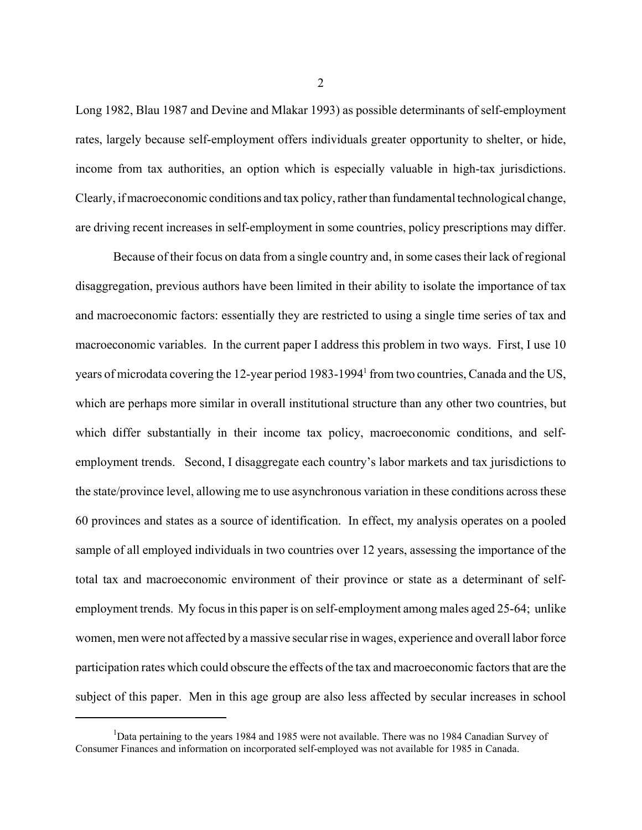Long 1982, Blau 1987 and Devine and Mlakar 1993) as possible determinants of self-employment rates, largely because self-employment offers individuals greater opportunity to shelter, or hide, income from tax authorities, an option which is especially valuable in high-tax jurisdictions. Clearly, if macroeconomic conditions and tax policy, rather than fundamental technological change, are driving recent increases in self-employment in some countries, policy prescriptions may differ.

Because of their focus on data from a single country and, in some cases their lack of regional disaggregation, previous authors have been limited in their ability to isolate the importance of tax and macroeconomic factors: essentially they are restricted to using a single time series of tax and macroeconomic variables. In the current paper I address this problem in two ways. First, I use 10 years of microdata covering the 12-year period 1983-1994<sup>1</sup> from two countries, Canada and the US, which are perhaps more similar in overall institutional structure than any other two countries, but which differ substantially in their income tax policy, macroeconomic conditions, and selfemployment trends. Second, I disaggregate each country's labor markets and tax jurisdictions to the state/province level, allowing me to use asynchronous variation in these conditions across these 60 provinces and states as a source of identification. In effect, my analysis operates on a pooled sample of all employed individuals in two countries over 12 years, assessing the importance of the total tax and macroeconomic environment of their province or state as a determinant of selfemployment trends. My focus in this paper is on self-employment among males aged 25-64; unlike women, men were not affected by a massive secular rise in wages, experience and overall labor force participation rates which could obscure the effects of the tax and macroeconomic factors that are the subject of this paper. Men in this age group are also less affected by secular increases in school

<sup>&</sup>lt;sup>1</sup>Data pertaining to the years 1984 and 1985 were not available. There was no 1984 Canadian Survey of Consumer Finances and information on incorporated self-employed was not available for 1985 in Canada.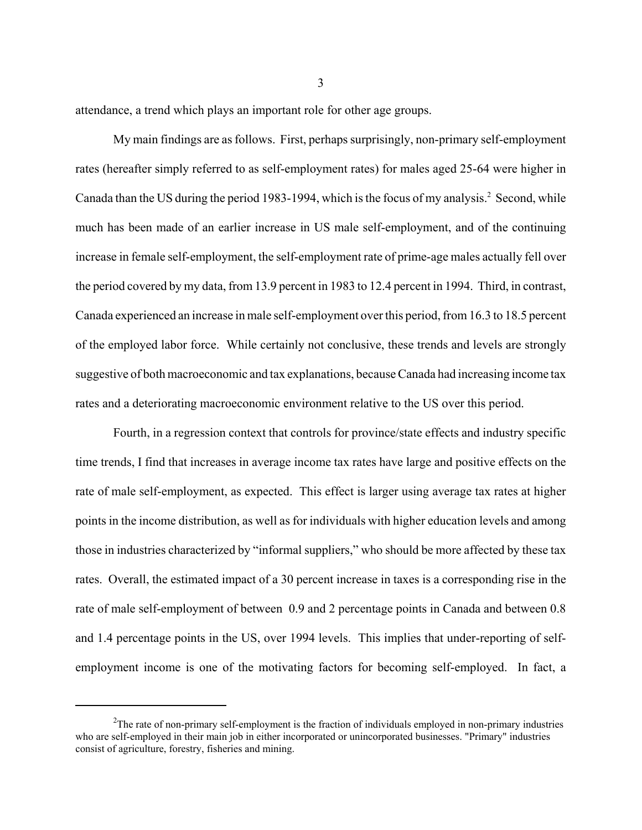attendance, a trend which plays an important role for other age groups.

My main findings are as follows. First, perhaps surprisingly, non-primary self-employment rates (hereafter simply referred to as self-employment rates) for males aged 25-64 were higher in Canada than the US during the period 1983-1994, which is the focus of my analysis.<sup>2</sup> Second, while much has been made of an earlier increase in US male self-employment, and of the continuing increase in female self-employment, the self-employment rate of prime-age males actually fell over the period covered by my data, from 13.9 percent in 1983 to 12.4 percent in 1994. Third, in contrast, Canada experienced an increase in male self-employment over this period, from 16.3 to 18.5 percent of the employed labor force. While certainly not conclusive, these trends and levels are strongly suggestive of both macroeconomic and tax explanations, because Canada had increasing income tax rates and a deteriorating macroeconomic environment relative to the US over this period.

Fourth, in a regression context that controls for province/state effects and industry specific time trends, I find that increases in average income tax rates have large and positive effects on the rate of male self-employment, as expected. This effect is larger using average tax rates at higher points in the income distribution, as well as for individuals with higher education levels and among those in industries characterized by "informal suppliers," who should be more affected by these tax rates. Overall, the estimated impact of a 30 percent increase in taxes is a corresponding rise in the rate of male self-employment of between 0.9 and 2 percentage points in Canada and between 0.8 and 1.4 percentage points in the US, over 1994 levels. This implies that under-reporting of selfemployment income is one of the motivating factors for becoming self-employed. In fact, a

 $2$ The rate of non-primary self-employment is the fraction of individuals employed in non-primary industries who are self-employed in their main job in either incorporated or unincorporated businesses. "Primary" industries consist of agriculture, forestry, fisheries and mining.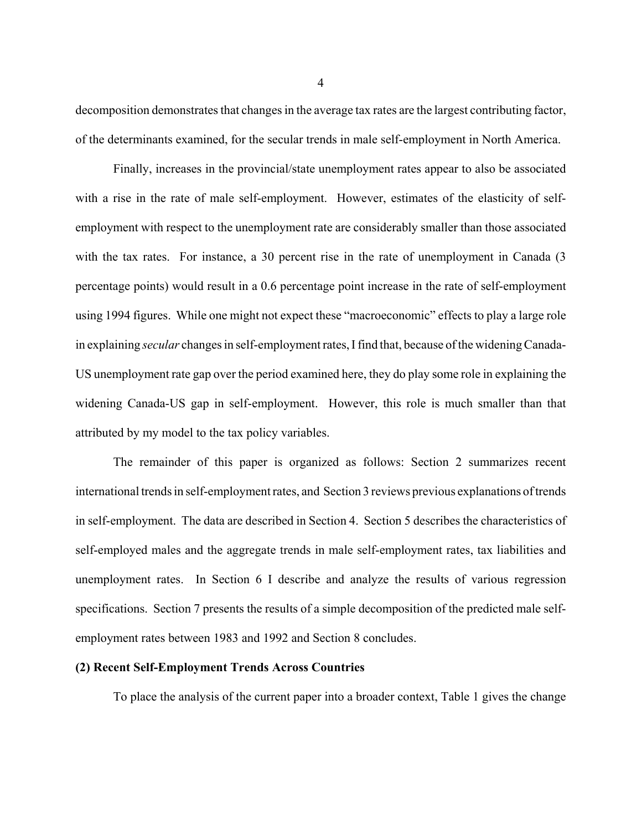decomposition demonstrates that changes in the average tax rates are the largest contributing factor, of the determinants examined, for the secular trends in male self-employment in North America.

Finally, increases in the provincial/state unemployment rates appear to also be associated with a rise in the rate of male self-employment. However, estimates of the elasticity of selfemployment with respect to the unemployment rate are considerably smaller than those associated with the tax rates. For instance, a 30 percent rise in the rate of unemployment in Canada (3 percentage points) would result in a 0.6 percentage point increase in the rate of self-employment using 1994 figures. While one might not expect these "macroeconomic" effects to play a large role in explaining *secular* changes in self-employment rates, I find that, because of the widening Canada-US unemployment rate gap over the period examined here, they do play some role in explaining the widening Canada-US gap in self-employment. However, this role is much smaller than that attributed by my model to the tax policy variables.

The remainder of this paper is organized as follows: Section 2 summarizes recent international trends in self-employment rates, and Section 3 reviews previous explanations of trends in self-employment. The data are described in Section 4. Section 5 describes the characteristics of self-employed males and the aggregate trends in male self-employment rates, tax liabilities and unemployment rates. In Section 6 I describe and analyze the results of various regression specifications. Section 7 presents the results of a simple decomposition of the predicted male selfemployment rates between 1983 and 1992 and Section 8 concludes.

# **(2) Recent Self-Employment Trends Across Countries**

To place the analysis of the current paper into a broader context, Table 1 gives the change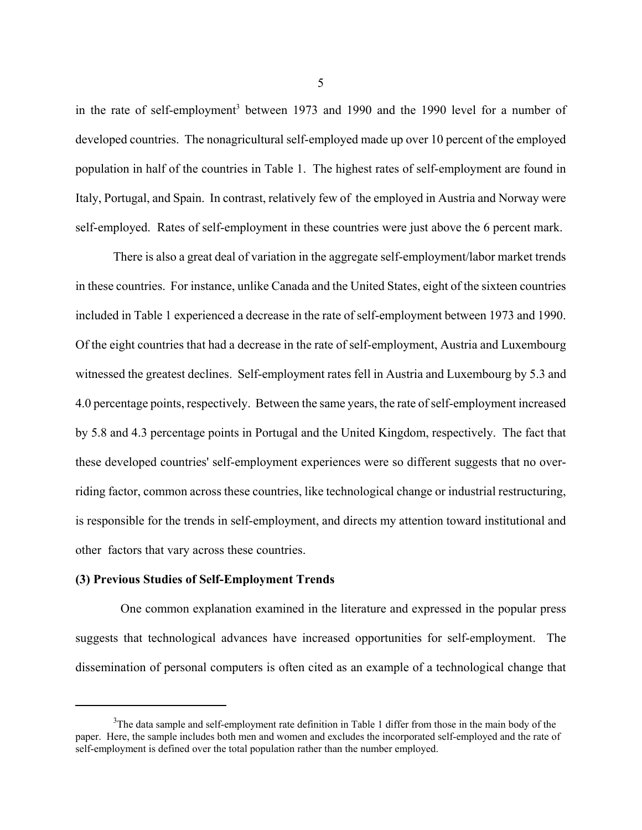in the rate of self-employment<sup>3</sup> between 1973 and 1990 and the 1990 level for a number of developed countries. The nonagricultural self-employed made up over 10 percent of the employed population in half of the countries in Table 1. The highest rates of self-employment are found in Italy, Portugal, and Spain. In contrast, relatively few of the employed in Austria and Norway were self-employed. Rates of self-employment in these countries were just above the 6 percent mark.

There is also a great deal of variation in the aggregate self-employment/labor market trends in these countries. For instance, unlike Canada and the United States, eight of the sixteen countries included in Table 1 experienced a decrease in the rate of self-employment between 1973 and 1990. Of the eight countries that had a decrease in the rate of self-employment, Austria and Luxembourg witnessed the greatest declines. Self-employment rates fell in Austria and Luxembourg by 5.3 and 4.0 percentage points, respectively. Between the same years, the rate of self-employment increased by 5.8 and 4.3 percentage points in Portugal and the United Kingdom, respectively. The fact that these developed countries' self-employment experiences were so different suggests that no overriding factor, common across these countries, like technological change or industrial restructuring, is responsible for the trends in self-employment, and directs my attention toward institutional and other factors that vary across these countries.

## **(3) Previous Studies of Self-Employment Trends**

 One common explanation examined in the literature and expressed in the popular press suggests that technological advances have increased opportunities for self-employment. The dissemination of personal computers is often cited as an example of a technological change that

 $3$ The data sample and self-employment rate definition in Table 1 differ from those in the main body of the paper. Here, the sample includes both men and women and excludes the incorporated self-employed and the rate of self-employment is defined over the total population rather than the number employed.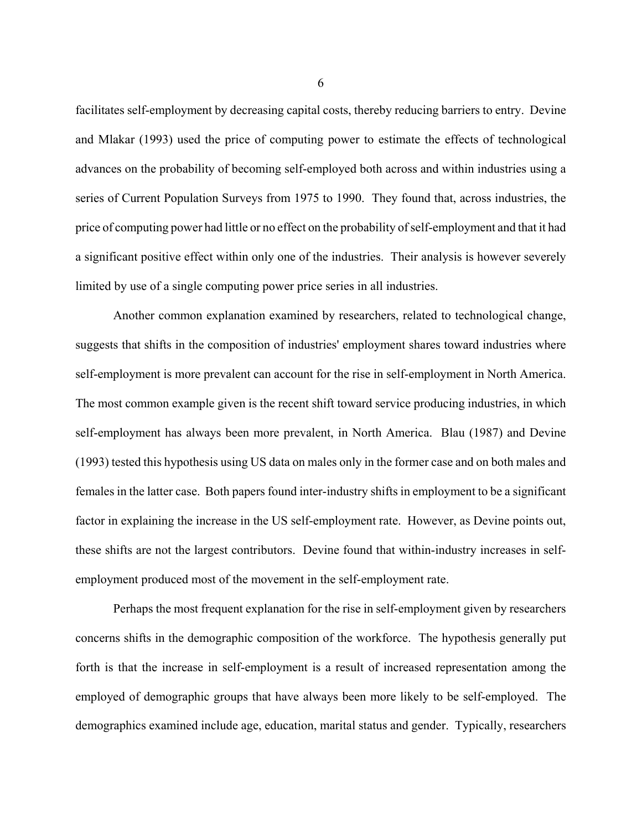facilitates self-employment by decreasing capital costs, thereby reducing barriers to entry. Devine and Mlakar (1993) used the price of computing power to estimate the effects of technological advances on the probability of becoming self-employed both across and within industries using a series of Current Population Surveys from 1975 to 1990. They found that, across industries, the price of computing power had little or no effect on the probability of self-employment and that it had a significant positive effect within only one of the industries. Their analysis is however severely limited by use of a single computing power price series in all industries.

Another common explanation examined by researchers, related to technological change, suggests that shifts in the composition of industries' employment shares toward industries where self-employment is more prevalent can account for the rise in self-employment in North America. The most common example given is the recent shift toward service producing industries, in which self-employment has always been more prevalent, in North America. Blau (1987) and Devine (1993) tested this hypothesis using US data on males only in the former case and on both males and females in the latter case. Both papers found inter-industry shifts in employment to be a significant factor in explaining the increase in the US self-employment rate. However, as Devine points out, these shifts are not the largest contributors. Devine found that within-industry increases in selfemployment produced most of the movement in the self-employment rate.

Perhaps the most frequent explanation for the rise in self-employment given by researchers concerns shifts in the demographic composition of the workforce. The hypothesis generally put forth is that the increase in self-employment is a result of increased representation among the employed of demographic groups that have always been more likely to be self-employed. The demographics examined include age, education, marital status and gender. Typically, researchers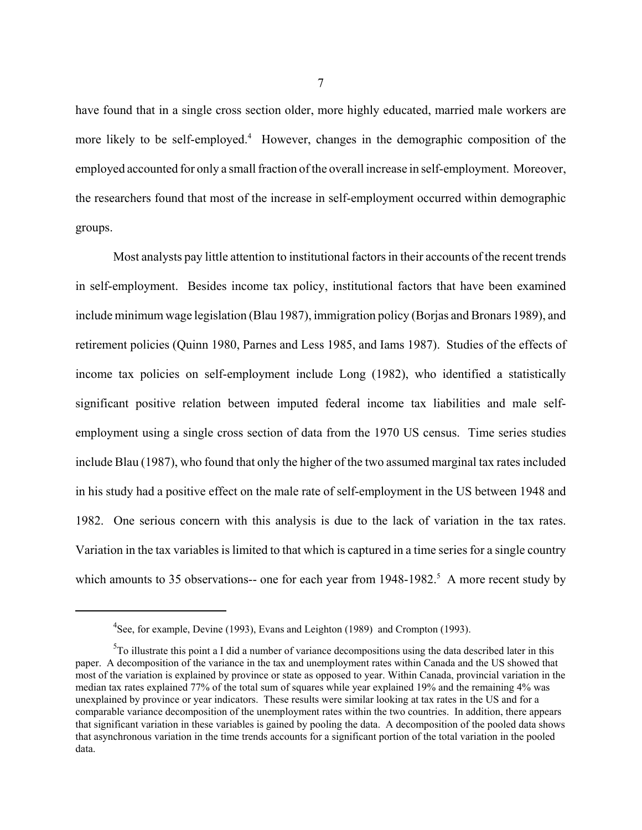have found that in a single cross section older, more highly educated, married male workers are more likely to be self-employed.<sup>4</sup> However, changes in the demographic composition of the employed accounted for only a small fraction of the overall increase in self-employment. Moreover, the researchers found that most of the increase in self-employment occurred within demographic groups.

Most analysts pay little attention to institutional factors in their accounts of the recent trends in self-employment. Besides income tax policy, institutional factors that have been examined include minimum wage legislation (Blau 1987), immigration policy (Borjas and Bronars 1989), and retirement policies (Quinn 1980, Parnes and Less 1985, and Iams 1987). Studies of the effects of income tax policies on self-employment include Long (1982), who identified a statistically significant positive relation between imputed federal income tax liabilities and male selfemployment using a single cross section of data from the 1970 US census. Time series studies include Blau (1987), who found that only the higher of the two assumed marginal tax rates included in his study had a positive effect on the male rate of self-employment in the US between 1948 and 1982. One serious concern with this analysis is due to the lack of variation in the tax rates. Variation in the tax variables is limited to that which is captured in a time series for a single country which amounts to 35 observations-- one for each year from  $1948-1982$ .<sup>5</sup> A more recent study by

 ${}^{4}$ See, for example, Devine (1993), Evans and Leighton (1989) and Crompton (1993).

<sup>&</sup>lt;sup>5</sup>To illustrate this point a I did a number of variance decompositions using the data described later in this paper. A decomposition of the variance in the tax and unemployment rates within Canada and the US showed that most of the variation is explained by province or state as opposed to year. Within Canada, provincial variation in the median tax rates explained 77% of the total sum of squares while year explained 19% and the remaining 4% was unexplained by province or year indicators. These results were similar looking at tax rates in the US and for a comparable variance decomposition of the unemployment rates within the two countries. In addition, there appears that significant variation in these variables is gained by pooling the data. A decomposition of the pooled data shows that asynchronous variation in the time trends accounts for a significant portion of the total variation in the pooled data.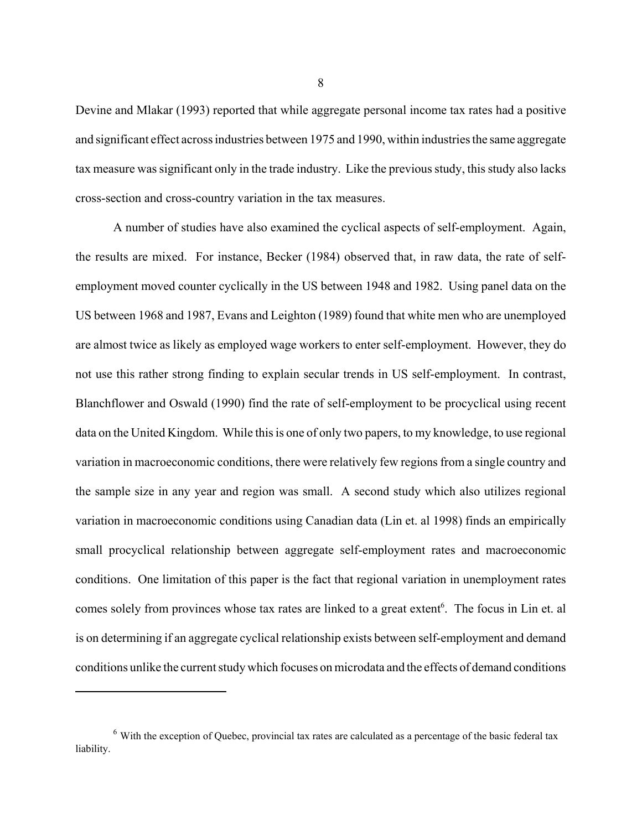Devine and Mlakar (1993) reported that while aggregate personal income tax rates had a positive and significant effect across industries between 1975 and 1990, within industries the same aggregate tax measure was significant only in the trade industry. Like the previous study, this study also lacks cross-section and cross-country variation in the tax measures.

A number of studies have also examined the cyclical aspects of self-employment. Again, the results are mixed. For instance, Becker (1984) observed that, in raw data, the rate of selfemployment moved counter cyclically in the US between 1948 and 1982. Using panel data on the US between 1968 and 1987, Evans and Leighton (1989) found that white men who are unemployed are almost twice as likely as employed wage workers to enter self-employment. However, they do not use this rather strong finding to explain secular trends in US self-employment. In contrast, Blanchflower and Oswald (1990) find the rate of self-employment to be procyclical using recent data on the United Kingdom. While this is one of only two papers, to my knowledge, to use regional variation in macroeconomic conditions, there were relatively few regions from a single country and the sample size in any year and region was small. A second study which also utilizes regional variation in macroeconomic conditions using Canadian data (Lin et. al 1998) finds an empirically small procyclical relationship between aggregate self-employment rates and macroeconomic conditions. One limitation of this paper is the fact that regional variation in unemployment rates comes solely from provinces whose tax rates are linked to a great extent<sup>6</sup>. The focus in Lin et. al is on determining if an aggregate cyclical relationship exists between self-employment and demand conditions unlike the current study which focuses on microdata and the effects of demand conditions

<sup>&</sup>lt;sup>6</sup> With the exception of Quebec, provincial tax rates are calculated as a percentage of the basic federal tax liability.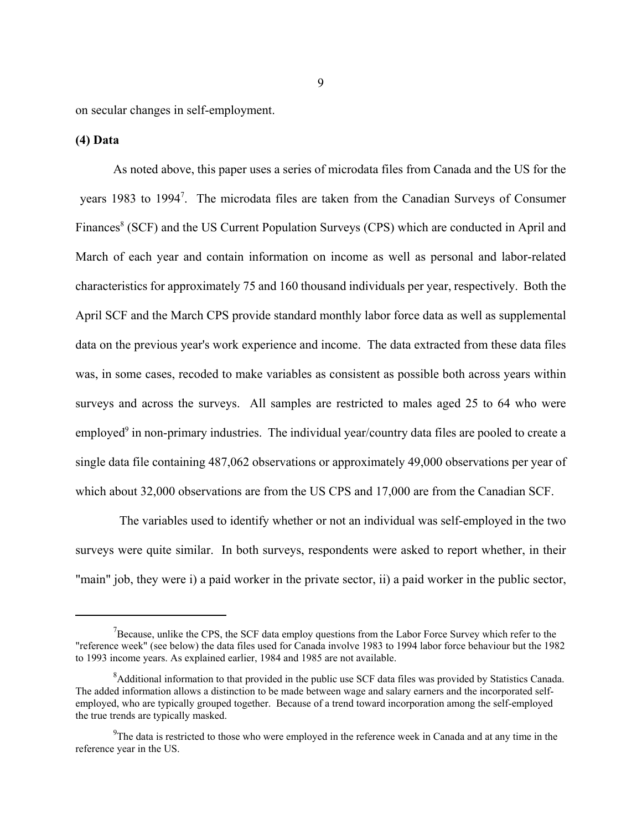on secular changes in self-employment.

## **(4) Data**

As noted above, this paper uses a series of microdata files from Canada and the US for the years 1983 to 19947 . The microdata files are taken from the Canadian Surveys of Consumer Finances<sup>8</sup> (SCF) and the US Current Population Surveys (CPS) which are conducted in April and March of each year and contain information on income as well as personal and labor-related characteristics for approximately 75 and 160 thousand individuals per year, respectively. Both the April SCF and the March CPS provide standard monthly labor force data as well as supplemental data on the previous year's work experience and income. The data extracted from these data files was, in some cases, recoded to make variables as consistent as possible both across years within surveys and across the surveys. All samples are restricted to males aged 25 to 64 who were employed<sup>9</sup> in non-primary industries. The individual year/country data files are pooled to create a single data file containing 487,062 observations or approximately 49,000 observations per year of which about 32,000 observations are from the US CPS and 17,000 are from the Canadian SCF.

 The variables used to identify whether or not an individual was self-employed in the two surveys were quite similar. In both surveys, respondents were asked to report whether, in their "main" job, they were i) a paid worker in the private sector, ii) a paid worker in the public sector,

 $7$ Because, unlike the CPS, the SCF data employ questions from the Labor Force Survey which refer to the "reference week" (see below) the data files used for Canada involve 1983 to 1994 labor force behaviour but the 1982 to 1993 income years. As explained earlier, 1984 and 1985 are not available.

<sup>&</sup>lt;sup>8</sup>Additional information to that provided in the public use SCF data files was provided by Statistics Canada. The added information allows a distinction to be made between wage and salary earners and the incorporated selfemployed, who are typically grouped together. Because of a trend toward incorporation among the self-employed the true trends are typically masked.

<sup>&</sup>lt;sup>9</sup>The data is restricted to those who were employed in the reference week in Canada and at any time in the reference year in the US.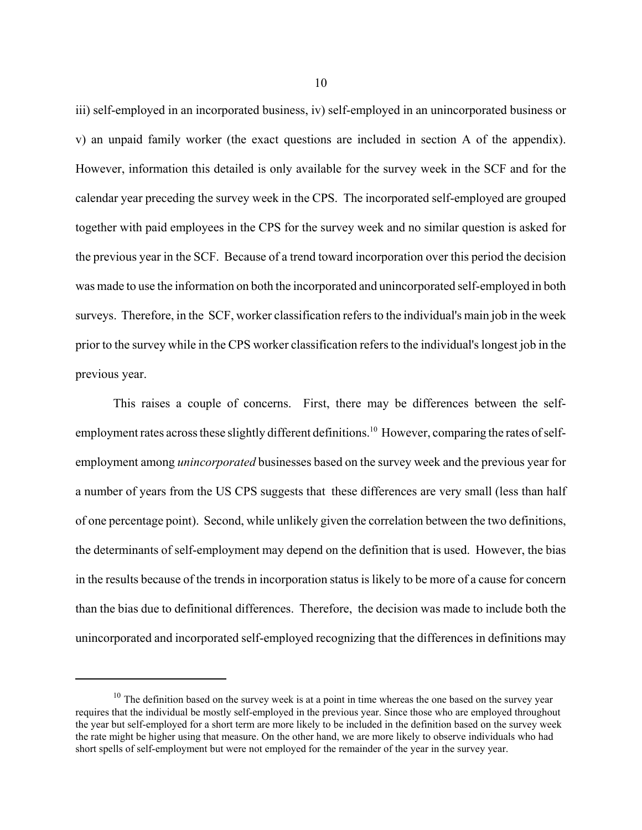iii) self-employed in an incorporated business, iv) self-employed in an unincorporated business or v) an unpaid family worker (the exact questions are included in section A of the appendix). However, information this detailed is only available for the survey week in the SCF and for the calendar year preceding the survey week in the CPS. The incorporated self-employed are grouped together with paid employees in the CPS for the survey week and no similar question is asked for the previous year in the SCF. Because of a trend toward incorporation over this period the decision was made to use the information on both the incorporated and unincorporated self-employed in both surveys. Therefore, in the SCF, worker classification refers to the individual's main job in the week prior to the survey while in the CPS worker classification refers to the individual's longest job in the previous year.

This raises a couple of concerns. First, there may be differences between the selfemployment rates across these slightly different definitions.<sup>10</sup> However, comparing the rates of selfemployment among *unincorporated* businesses based on the survey week and the previous year for a number of years from the US CPS suggests that these differences are very small (less than half of one percentage point). Second, while unlikely given the correlation between the two definitions, the determinants of self-employment may depend on the definition that is used. However, the bias in the results because of the trends in incorporation status is likely to be more of a cause for concern than the bias due to definitional differences. Therefore, the decision was made to include both the unincorporated and incorporated self-employed recognizing that the differences in definitions may

 $10$  The definition based on the survey week is at a point in time whereas the one based on the survey year requires that the individual be mostly self-employed in the previous year. Since those who are employed throughout the year but self-employed for a short term are more likely to be included in the definition based on the survey week the rate might be higher using that measure. On the other hand, we are more likely to observe individuals who had short spells of self-employment but were not employed for the remainder of the year in the survey year.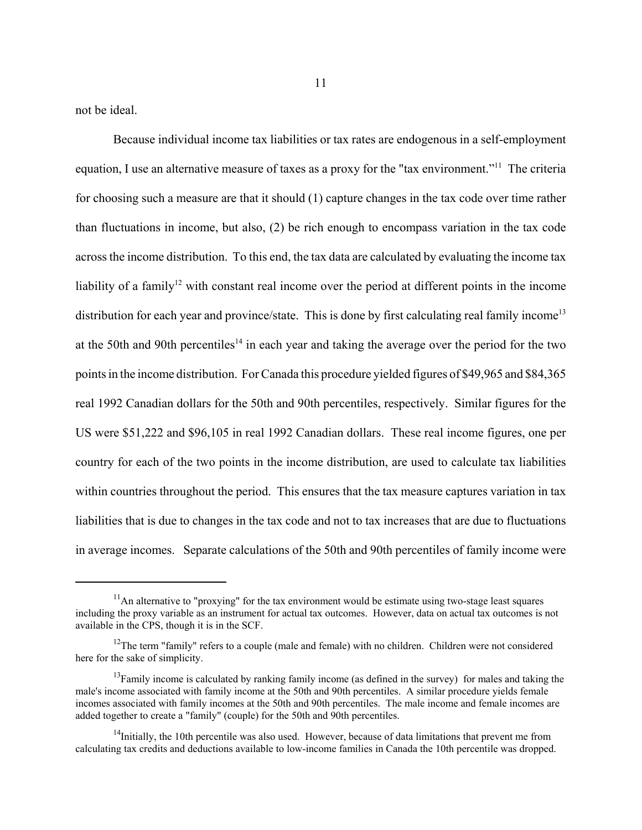not be ideal.

Because individual income tax liabilities or tax rates are endogenous in a self-employment equation, I use an alternative measure of taxes as a proxy for the "tax environment."11 The criteria for choosing such a measure are that it should (1) capture changes in the tax code over time rather than fluctuations in income, but also, (2) be rich enough to encompass variation in the tax code across the income distribution. To this end, the tax data are calculated by evaluating the income tax liability of a family<sup>12</sup> with constant real income over the period at different points in the income distribution for each year and province/state. This is done by first calculating real family income<sup>13</sup> at the 50th and 90th percentiles<sup>14</sup> in each year and taking the average over the period for the two points in the income distribution. For Canada this procedure yielded figures of \$49,965 and \$84,365 real 1992 Canadian dollars for the 50th and 90th percentiles, respectively. Similar figures for the US were \$51,222 and \$96,105 in real 1992 Canadian dollars. These real income figures, one per country for each of the two points in the income distribution, are used to calculate tax liabilities within countries throughout the period. This ensures that the tax measure captures variation in tax liabilities that is due to changes in the tax code and not to tax increases that are due to fluctuations in average incomes. Separate calculations of the 50th and 90th percentiles of family income were

 $11$ An alternative to "proxying" for the tax environment would be estimate using two-stage least squares including the proxy variable as an instrument for actual tax outcomes. However, data on actual tax outcomes is not available in the CPS, though it is in the SCF.

 $12$ The term "family" refers to a couple (male and female) with no children. Children were not considered here for the sake of simplicity.

 $13$ Family income is calculated by ranking family income (as defined in the survey) for males and taking the male's income associated with family income at the 50th and 90th percentiles. A similar procedure yields female incomes associated with family incomes at the 50th and 90th percentiles. The male income and female incomes are added together to create a "family" (couple) for the 50th and 90th percentiles.

<sup>&</sup>lt;sup>14</sup>Initially, the 10th percentile was also used. However, because of data limitations that prevent me from calculating tax credits and deductions available to low-income families in Canada the 10th percentile was dropped.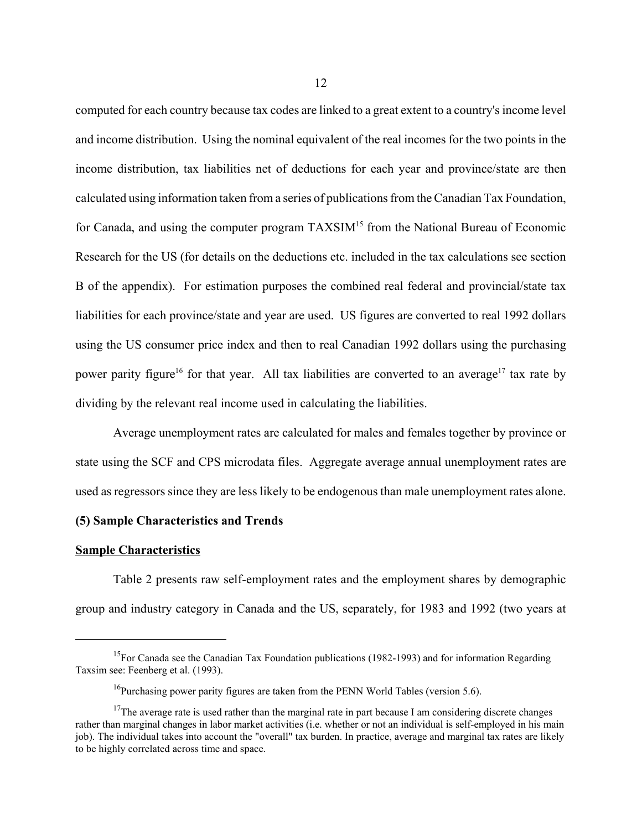computed for each country because tax codes are linked to a great extent to a country's income level and income distribution. Using the nominal equivalent of the real incomes for the two points in the income distribution, tax liabilities net of deductions for each year and province/state are then calculated using information taken from a series of publications from the Canadian Tax Foundation, for Canada, and using the computer program TAXSIM<sup>15</sup> from the National Bureau of Economic Research for the US (for details on the deductions etc. included in the tax calculations see section B of the appendix). For estimation purposes the combined real federal and provincial/state tax liabilities for each province/state and year are used. US figures are converted to real 1992 dollars using the US consumer price index and then to real Canadian 1992 dollars using the purchasing power parity figure<sup>16</sup> for that year. All tax liabilities are converted to an average<sup>17</sup> tax rate by dividing by the relevant real income used in calculating the liabilities.

Average unemployment rates are calculated for males and females together by province or state using the SCF and CPS microdata files. Aggregate average annual unemployment rates are used as regressors since they are less likely to be endogenous than male unemployment rates alone.

# **(5) Sample Characteristics and Trends**

## **Sample Characteristics**

Table 2 presents raw self-employment rates and the employment shares by demographic group and industry category in Canada and the US, separately, for 1983 and 1992 (two years at

<sup>&</sup>lt;sup>15</sup>For Canada see the Canadian Tax Foundation publications (1982-1993) and for information Regarding Taxsim see: Feenberg et al. (1993).

 $16$ Purchasing power parity figures are taken from the PENN World Tables (version 5.6).

 $17$ The average rate is used rather than the marginal rate in part because I am considering discrete changes rather than marginal changes in labor market activities (i.e. whether or not an individual is self-employed in his main job). The individual takes into account the "overall" tax burden. In practice, average and marginal tax rates are likely to be highly correlated across time and space.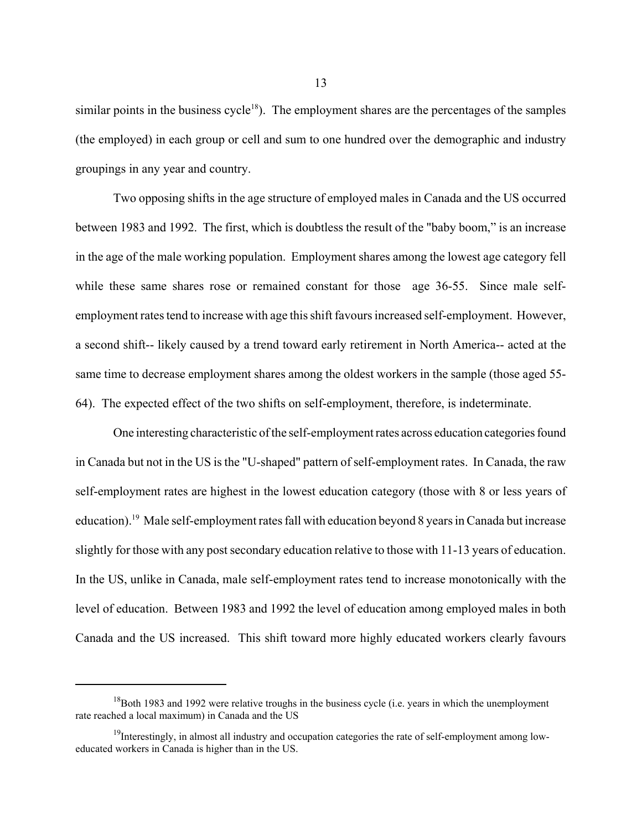similar points in the business cycle<sup>18</sup>). The employment shares are the percentages of the samples (the employed) in each group or cell and sum to one hundred over the demographic and industry groupings in any year and country.

Two opposing shifts in the age structure of employed males in Canada and the US occurred between 1983 and 1992. The first, which is doubtless the result of the "baby boom," is an increase in the age of the male working population. Employment shares among the lowest age category fell while these same shares rose or remained constant for those age 36-55. Since male selfemployment rates tend to increase with age this shift favours increased self-employment. However, a second shift-- likely caused by a trend toward early retirement in North America-- acted at the same time to decrease employment shares among the oldest workers in the sample (those aged 55- 64). The expected effect of the two shifts on self-employment, therefore, is indeterminate.

One interesting characteristic of the self-employment rates across education categories found in Canada but not in the US is the "U-shaped" pattern of self-employment rates. In Canada, the raw self-employment rates are highest in the lowest education category (those with 8 or less years of education).19 Male self-employment rates fall with education beyond 8 years in Canada but increase slightly for those with any post secondary education relative to those with 11-13 years of education. In the US, unlike in Canada, male self-employment rates tend to increase monotonically with the level of education. Between 1983 and 1992 the level of education among employed males in both Canada and the US increased. This shift toward more highly educated workers clearly favours

 $18$ Both 1983 and 1992 were relative troughs in the business cycle (i.e. years in which the unemployment rate reached a local maximum) in Canada and the US

<sup>&</sup>lt;sup>19</sup>Interestingly, in almost all industry and occupation categories the rate of self-employment among loweducated workers in Canada is higher than in the US.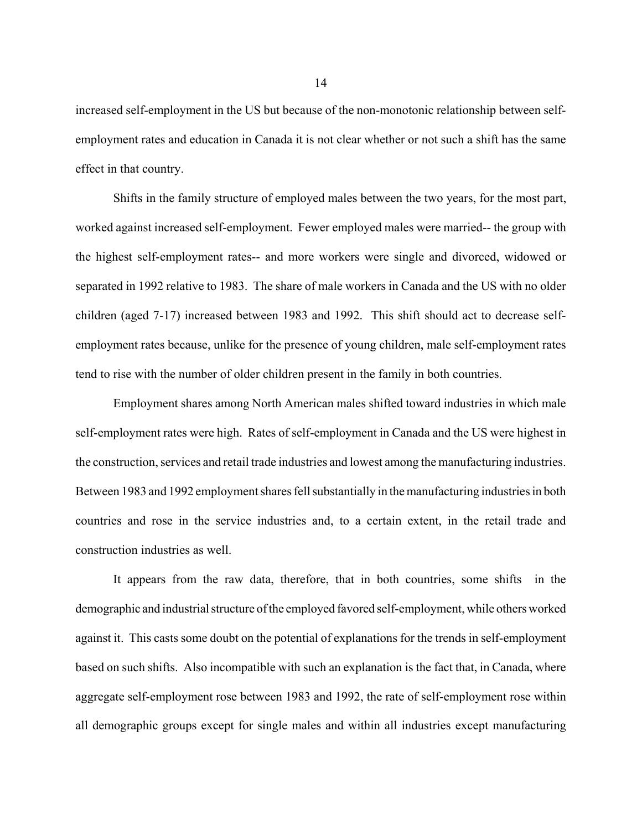increased self-employment in the US but because of the non-monotonic relationship between selfemployment rates and education in Canada it is not clear whether or not such a shift has the same effect in that country.

Shifts in the family structure of employed males between the two years, for the most part, worked against increased self-employment. Fewer employed males were married-- the group with the highest self-employment rates-- and more workers were single and divorced, widowed or separated in 1992 relative to 1983. The share of male workers in Canada and the US with no older children (aged 7-17) increased between 1983 and 1992. This shift should act to decrease selfemployment rates because, unlike for the presence of young children, male self-employment rates tend to rise with the number of older children present in the family in both countries.

Employment shares among North American males shifted toward industries in which male self-employment rates were high. Rates of self-employment in Canada and the US were highest in the construction, services and retail trade industries and lowest among the manufacturing industries. Between 1983 and 1992 employment shares fell substantially in the manufacturing industries in both countries and rose in the service industries and, to a certain extent, in the retail trade and construction industries as well.

It appears from the raw data, therefore, that in both countries, some shifts in the demographic and industrial structure of the employed favored self-employment, while others worked against it. This casts some doubt on the potential of explanations for the trends in self-employment based on such shifts. Also incompatible with such an explanation is the fact that, in Canada, where aggregate self-employment rose between 1983 and 1992, the rate of self-employment rose within all demographic groups except for single males and within all industries except manufacturing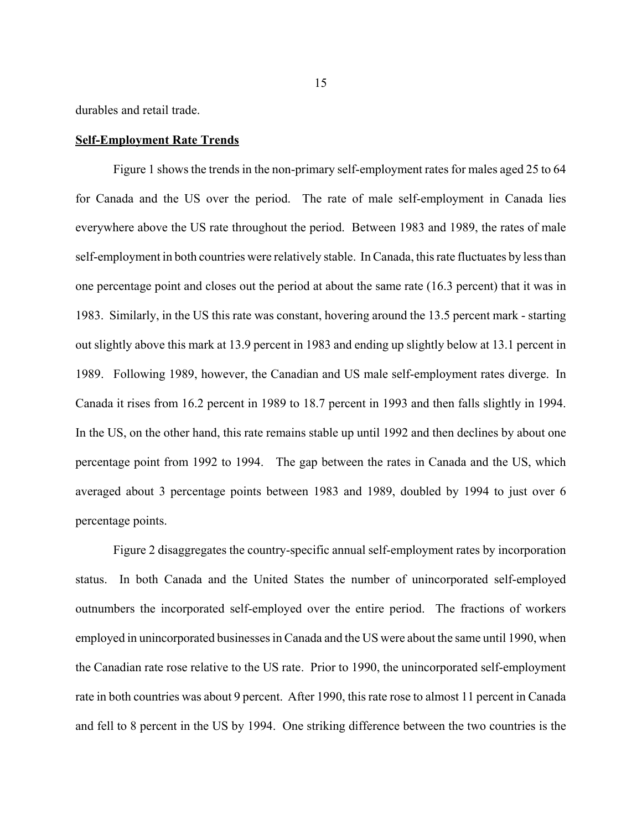durables and retail trade.

### **Self-Employment Rate Trends**

Figure 1 shows the trends in the non-primary self-employment rates for males aged 25 to 64 for Canada and the US over the period. The rate of male self-employment in Canada lies everywhere above the US rate throughout the period. Between 1983 and 1989, the rates of male self-employment in both countries were relatively stable. In Canada, this rate fluctuates by less than one percentage point and closes out the period at about the same rate (16.3 percent) that it was in 1983. Similarly, in the US this rate was constant, hovering around the 13.5 percent mark - starting out slightly above this mark at 13.9 percent in 1983 and ending up slightly below at 13.1 percent in 1989. Following 1989, however, the Canadian and US male self-employment rates diverge. In Canada it rises from 16.2 percent in 1989 to 18.7 percent in 1993 and then falls slightly in 1994. In the US, on the other hand, this rate remains stable up until 1992 and then declines by about one percentage point from 1992 to 1994. The gap between the rates in Canada and the US, which averaged about 3 percentage points between 1983 and 1989, doubled by 1994 to just over 6 percentage points.

Figure 2 disaggregates the country-specific annual self-employment rates by incorporation status. In both Canada and the United States the number of unincorporated self-employed outnumbers the incorporated self-employed over the entire period. The fractions of workers employed in unincorporated businesses in Canada and the US were about the same until 1990, when the Canadian rate rose relative to the US rate. Prior to 1990, the unincorporated self-employment rate in both countries was about 9 percent. After 1990, this rate rose to almost 11 percent in Canada and fell to 8 percent in the US by 1994. One striking difference between the two countries is the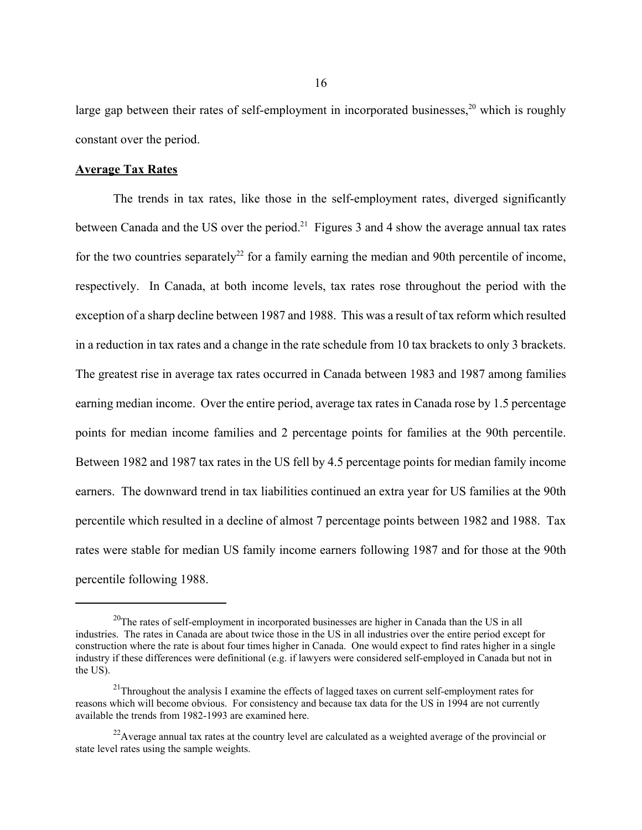large gap between their rates of self-employment in incorporated businesses, $20$  which is roughly constant over the period.

### **Average Tax Rates**

The trends in tax rates, like those in the self-employment rates, diverged significantly between Canada and the US over the period.<sup>21</sup> Figures 3 and 4 show the average annual tax rates for the two countries separately<sup>22</sup> for a family earning the median and 90th percentile of income, respectively. In Canada, at both income levels, tax rates rose throughout the period with the exception of a sharp decline between 1987 and 1988. This was a result of tax reform which resulted in a reduction in tax rates and a change in the rate schedule from 10 tax brackets to only 3 brackets. The greatest rise in average tax rates occurred in Canada between 1983 and 1987 among families earning median income. Over the entire period, average tax rates in Canada rose by 1.5 percentage points for median income families and 2 percentage points for families at the 90th percentile. Between 1982 and 1987 tax rates in the US fell by 4.5 percentage points for median family income earners. The downward trend in tax liabilities continued an extra year for US families at the 90th percentile which resulted in a decline of almost 7 percentage points between 1982 and 1988. Tax rates were stable for median US family income earners following 1987 and for those at the 90th percentile following 1988.

 $^{20}$ The rates of self-employment in incorporated businesses are higher in Canada than the US in all industries. The rates in Canada are about twice those in the US in all industries over the entire period except for construction where the rate is about four times higher in Canada. One would expect to find rates higher in a single industry if these differences were definitional (e.g. if lawyers were considered self-employed in Canada but not in the US).

<sup>&</sup>lt;sup>21</sup>Throughout the analysis I examine the effects of lagged taxes on current self-employment rates for reasons which will become obvious. For consistency and because tax data for the US in 1994 are not currently available the trends from 1982-1993 are examined here.

 $22$ Average annual tax rates at the country level are calculated as a weighted average of the provincial or state level rates using the sample weights.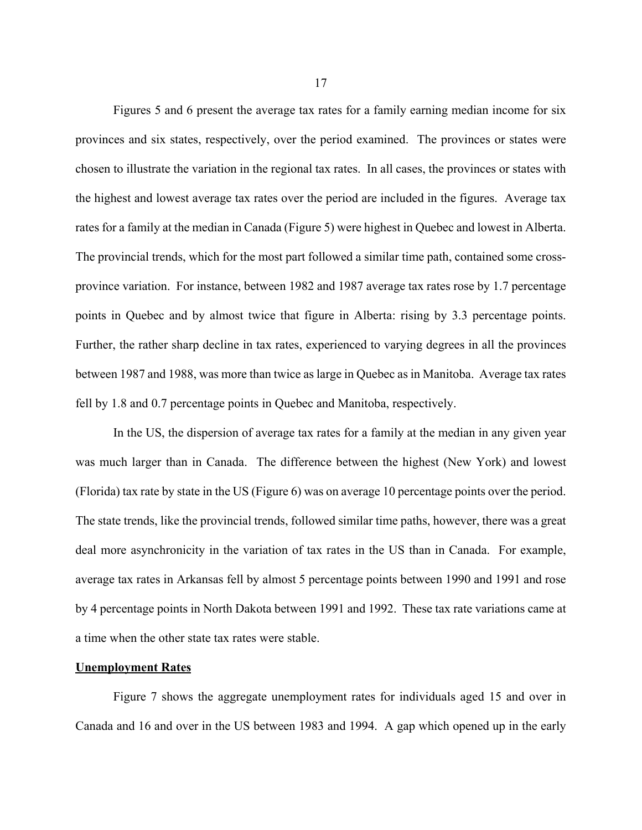Figures 5 and 6 present the average tax rates for a family earning median income for six provinces and six states, respectively, over the period examined. The provinces or states were chosen to illustrate the variation in the regional tax rates. In all cases, the provinces or states with the highest and lowest average tax rates over the period are included in the figures. Average tax rates for a family at the median in Canada (Figure 5) were highest in Quebec and lowest in Alberta. The provincial trends, which for the most part followed a similar time path, contained some crossprovince variation. For instance, between 1982 and 1987 average tax rates rose by 1.7 percentage points in Quebec and by almost twice that figure in Alberta: rising by 3.3 percentage points. Further, the rather sharp decline in tax rates, experienced to varying degrees in all the provinces between 1987 and 1988, was more than twice as large in Quebec as in Manitoba. Average tax rates fell by 1.8 and 0.7 percentage points in Quebec and Manitoba, respectively.

In the US, the dispersion of average tax rates for a family at the median in any given year was much larger than in Canada. The difference between the highest (New York) and lowest (Florida) tax rate by state in the US (Figure 6) was on average 10 percentage points over the period. The state trends, like the provincial trends, followed similar time paths, however, there was a great deal more asynchronicity in the variation of tax rates in the US than in Canada. For example, average tax rates in Arkansas fell by almost 5 percentage points between 1990 and 1991 and rose by 4 percentage points in North Dakota between 1991 and 1992. These tax rate variations came at a time when the other state tax rates were stable.

### **Unemployment Rates**

Figure 7 shows the aggregate unemployment rates for individuals aged 15 and over in Canada and 16 and over in the US between 1983 and 1994. A gap which opened up in the early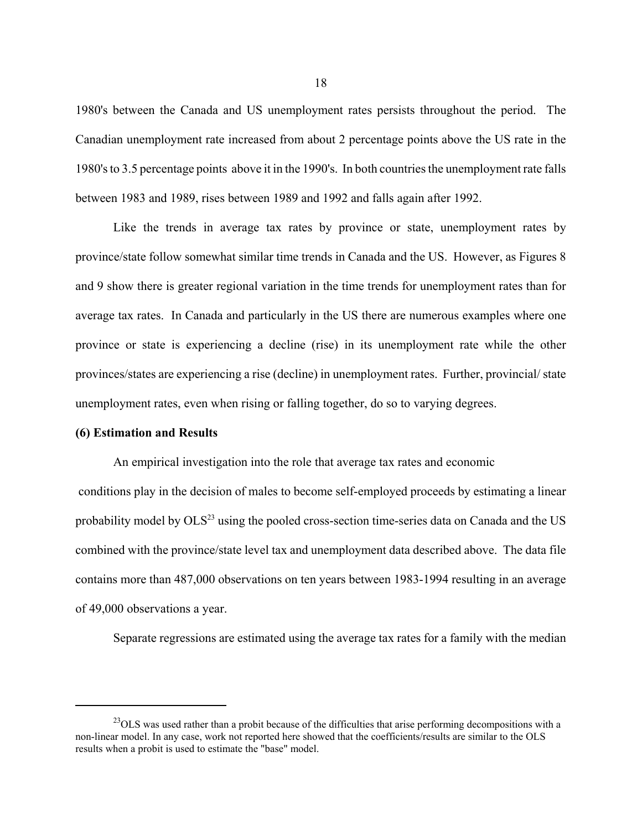1980's between the Canada and US unemployment rates persists throughout the period. The Canadian unemployment rate increased from about 2 percentage points above the US rate in the 1980's to 3.5 percentage points above it in the 1990's. In both countries the unemployment rate falls between 1983 and 1989, rises between 1989 and 1992 and falls again after 1992.

Like the trends in average tax rates by province or state, unemployment rates by province/state follow somewhat similar time trends in Canada and the US. However, as Figures 8 and 9 show there is greater regional variation in the time trends for unemployment rates than for average tax rates. In Canada and particularly in the US there are numerous examples where one province or state is experiencing a decline (rise) in its unemployment rate while the other provinces/states are experiencing a rise (decline) in unemployment rates. Further, provincial/ state unemployment rates, even when rising or falling together, do so to varying degrees.

# **(6) Estimation and Results**

An empirical investigation into the role that average tax rates and economic

 conditions play in the decision of males to become self-employed proceeds by estimating a linear probability model by  $OLS^{23}$  using the pooled cross-section time-series data on Canada and the US combined with the province/state level tax and unemployment data described above. The data file contains more than 487,000 observations on ten years between 1983-1994 resulting in an average of 49,000 observations a year.

Separate regressions are estimated using the average tax rates for a family with the median

 $^{23}$ OLS was used rather than a probit because of the difficulties that arise performing decompositions with a non-linear model. In any case, work not reported here showed that the coefficients/results are similar to the OLS results when a probit is used to estimate the "base" model.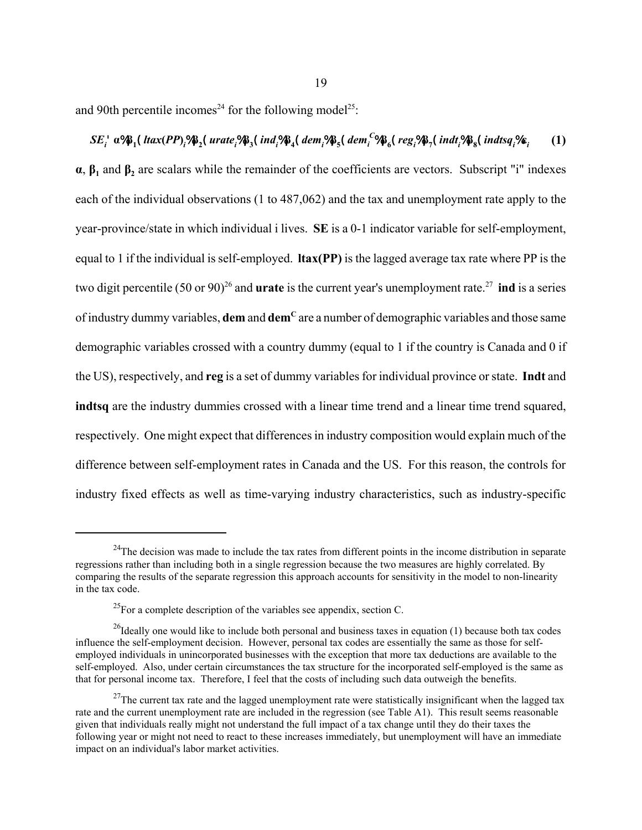and 90th percentile incomes<sup>24</sup> for the following model<sup>25</sup>:

# $SE_i^+$   $\alpha$ % $\beta_1$ ( ltax(PP)<sub>i</sub>% $\beta_2$ ( urate<sub>i</sub>% $\beta_3$ ( ind<sub>i</sub>% $\beta_4$ ( dem<sub>i</sub>% $\beta_5$ ( dem<sub>i</sub> % $\beta_6$ ( reg<sub>i</sub>% $\beta_7$ ( indt<sub>i</sub>% $\beta_8$ ( indtsq<sub>i</sub>% $\epsilon_i$  ))

**α**, **β1** and **β2** are scalars while the remainder of the coefficients are vectors. Subscript "i" indexes each of the individual observations (1 to 487,062) and the tax and unemployment rate apply to the year-province/state in which individual i lives. **SE** is a 0-1 indicator variable for self-employment, equal to 1 if the individual is self-employed. **ltax(PP)** is the lagged average tax rate where PP is the two digit percentile  $(50 \text{ or } 90)^{26}$  and **urate** is the current year's unemployment rate.<sup>27</sup> ind is a series of industry dummy variables, **dem** and **demC** are a number of demographic variables and those same demographic variables crossed with a country dummy (equal to 1 if the country is Canada and 0 if the US), respectively, and **reg** is a set of dummy variables for individual province or state. **Indt** and **indtsq** are the industry dummies crossed with a linear time trend and a linear time trend squared, respectively. One might expect that differences in industry composition would explain much of the difference between self-employment rates in Canada and the US. For this reason, the controls for industry fixed effects as well as time-varying industry characteristics, such as industry-specific

<sup>&</sup>lt;sup>24</sup>The decision was made to include the tax rates from different points in the income distribution in separate regressions rather than including both in a single regression because the two measures are highly correlated. By comparing the results of the separate regression this approach accounts for sensitivity in the model to non-linearity in the tax code.

 $^{25}$ For a complete description of the variables see appendix, section C.

<sup>&</sup>lt;sup>26</sup>Ideally one would like to include both personal and business taxes in equation (1) because both tax codes influence the self-employment decision. However, personal tax codes are essentially the same as those for selfemployed individuals in unincorporated businesses with the exception that more tax deductions are available to the self-employed. Also, under certain circumstances the tax structure for the incorporated self-employed is the same as that for personal income tax. Therefore, I feel that the costs of including such data outweigh the benefits.

<sup>&</sup>lt;sup>27</sup>The current tax rate and the lagged unemployment rate were statistically insignificant when the lagged tax rate and the current unemployment rate are included in the regression (see Table A1). This result seems reasonable given that individuals really might not understand the full impact of a tax change until they do their taxes the following year or might not need to react to these increases immediately, but unemployment will have an immediate impact on an individual's labor market activities.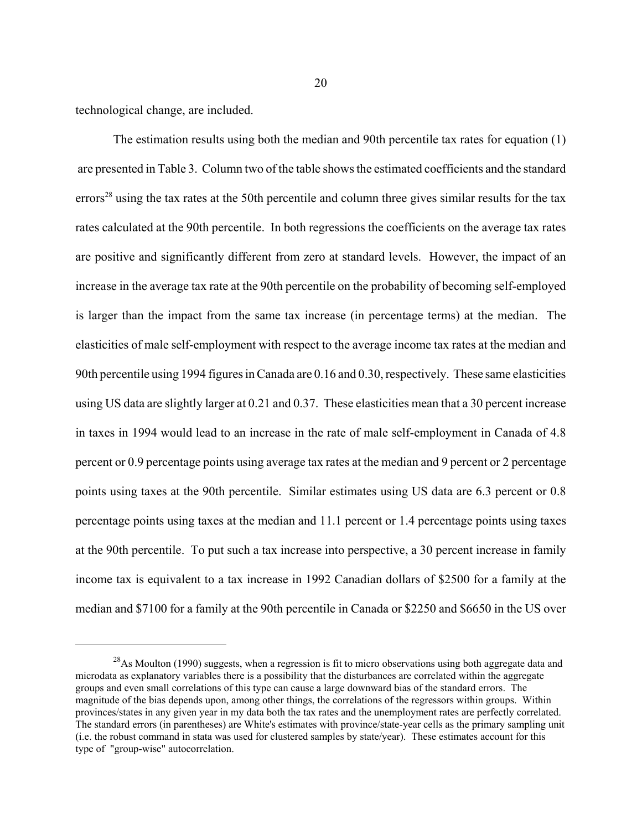technological change, are included.

The estimation results using both the median and 90th percentile tax rates for equation (1) are presented in Table 3. Column two of the table shows the estimated coefficients and the standard errors<sup>28</sup> using the tax rates at the 50th percentile and column three gives similar results for the tax rates calculated at the 90th percentile. In both regressions the coefficients on the average tax rates are positive and significantly different from zero at standard levels. However, the impact of an increase in the average tax rate at the 90th percentile on the probability of becoming self-employed is larger than the impact from the same tax increase (in percentage terms) at the median. The elasticities of male self-employment with respect to the average income tax rates at the median and 90th percentile using 1994 figures in Canada are 0.16 and 0.30, respectively. These same elasticities using US data are slightly larger at 0.21 and 0.37. These elasticities mean that a 30 percent increase in taxes in 1994 would lead to an increase in the rate of male self-employment in Canada of 4.8 percent or 0.9 percentage points using average tax rates at the median and 9 percent or 2 percentage points using taxes at the 90th percentile. Similar estimates using US data are 6.3 percent or 0.8 percentage points using taxes at the median and 11.1 percent or 1.4 percentage points using taxes at the 90th percentile. To put such a tax increase into perspective, a 30 percent increase in family income tax is equivalent to a tax increase in 1992 Canadian dollars of \$2500 for a family at the median and \$7100 for a family at the 90th percentile in Canada or \$2250 and \$6650 in the US over

 $^{28}$ As Moulton (1990) suggests, when a regression is fit to micro observations using both aggregate data and microdata as explanatory variables there is a possibility that the disturbances are correlated within the aggregate groups and even small correlations of this type can cause a large downward bias of the standard errors. The magnitude of the bias depends upon, among other things, the correlations of the regressors within groups. Within provinces/states in any given year in my data both the tax rates and the unemployment rates are perfectly correlated. The standard errors (in parentheses) are White's estimates with province/state-year cells as the primary sampling unit (i.e. the robust command in stata was used for clustered samples by state/year). These estimates account for this type of "group-wise" autocorrelation.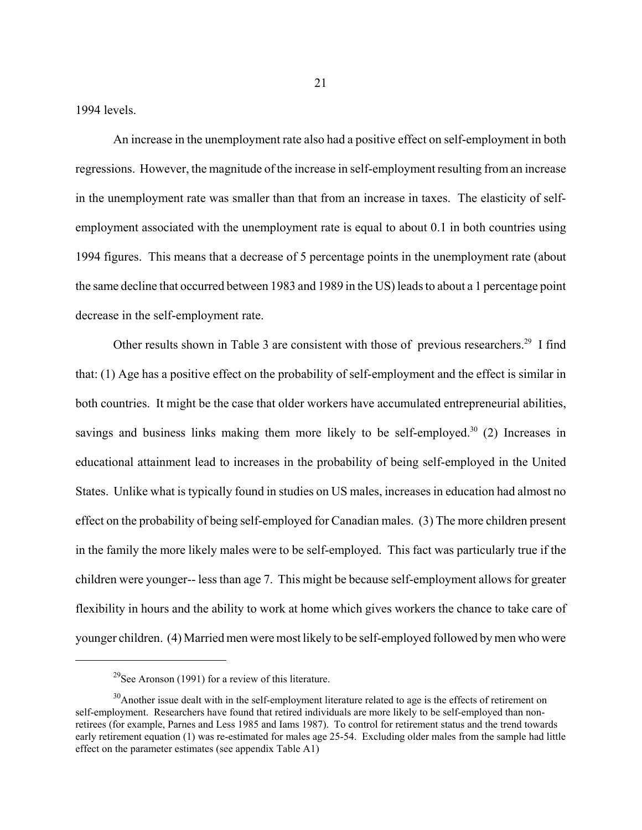1994 levels.

An increase in the unemployment rate also had a positive effect on self-employment in both regressions. However, the magnitude of the increase in self-employment resulting from an increase in the unemployment rate was smaller than that from an increase in taxes. The elasticity of selfemployment associated with the unemployment rate is equal to about 0.1 in both countries using 1994 figures. This means that a decrease of 5 percentage points in the unemployment rate (about the same decline that occurred between 1983 and 1989 in the US) leads to about a 1 percentage point decrease in the self-employment rate.

Other results shown in Table 3 are consistent with those of previous researchers.<sup>29</sup> I find that: (1) Age has a positive effect on the probability of self-employment and the effect is similar in both countries. It might be the case that older workers have accumulated entrepreneurial abilities, savings and business links making them more likely to be self-employed.<sup>30</sup> (2) Increases in educational attainment lead to increases in the probability of being self-employed in the United States. Unlike what is typically found in studies on US males, increases in education had almost no effect on the probability of being self-employed for Canadian males. (3) The more children present in the family the more likely males were to be self-employed. This fact was particularly true if the children were younger-- less than age 7. This might be because self-employment allows for greater flexibility in hours and the ability to work at home which gives workers the chance to take care of younger children. (4) Married men were most likely to be self-employed followed by men who were

<sup>&</sup>lt;sup>29</sup>See Aronson (1991) for a review of this literature.

<sup>&</sup>lt;sup>30</sup>Another issue dealt with in the self-employment literature related to age is the effects of retirement on self-employment. Researchers have found that retired individuals are more likely to be self-employed than nonretirees (for example, Parnes and Less 1985 and Iams 1987). To control for retirement status and the trend towards early retirement equation (1) was re-estimated for males age 25-54. Excluding older males from the sample had little effect on the parameter estimates (see appendix Table A1)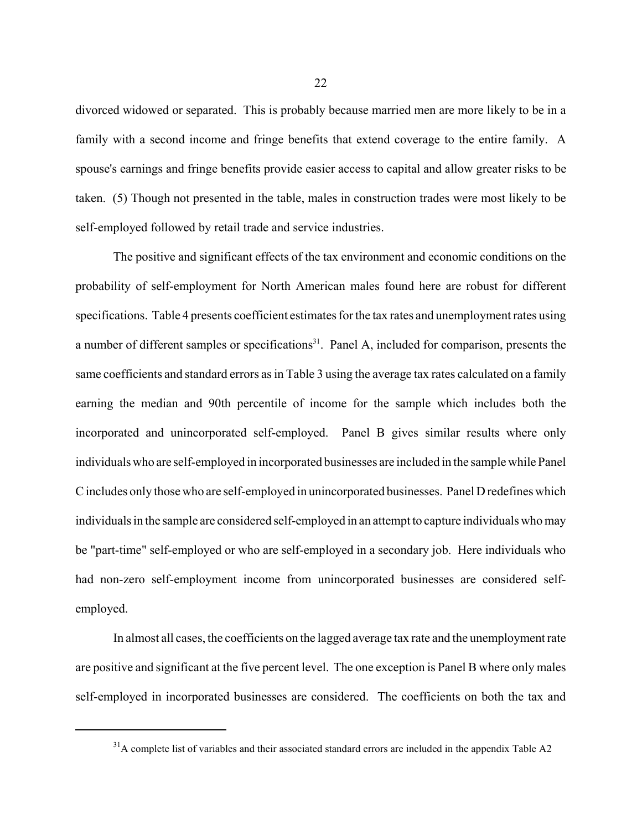divorced widowed or separated. This is probably because married men are more likely to be in a family with a second income and fringe benefits that extend coverage to the entire family. A spouse's earnings and fringe benefits provide easier access to capital and allow greater risks to be taken. (5) Though not presented in the table, males in construction trades were most likely to be self-employed followed by retail trade and service industries.

The positive and significant effects of the tax environment and economic conditions on the probability of self-employment for North American males found here are robust for different specifications. Table 4 presents coefficient estimates for the tax rates and unemployment rates using a number of different samples or specifications<sup>31</sup>. Panel A, included for comparison, presents the same coefficients and standard errors as in Table 3 using the average tax rates calculated on a family earning the median and 90th percentile of income for the sample which includes both the incorporated and unincorporated self-employed. Panel B gives similar results where only individuals who are self-employed in incorporated businesses are included in the sample while Panel C includes only those who are self-employed in unincorporated businesses. Panel D redefines which individuals in the sample are considered self-employed in an attempt to capture individuals who may be "part-time" self-employed or who are self-employed in a secondary job. Here individuals who had non-zero self-employment income from unincorporated businesses are considered selfemployed.

In almost all cases, the coefficients on the lagged average tax rate and the unemployment rate are positive and significant at the five percent level. The one exception is Panel B where only males self-employed in incorporated businesses are considered. The coefficients on both the tax and

 $31A$  complete list of variables and their associated standard errors are included in the appendix Table A2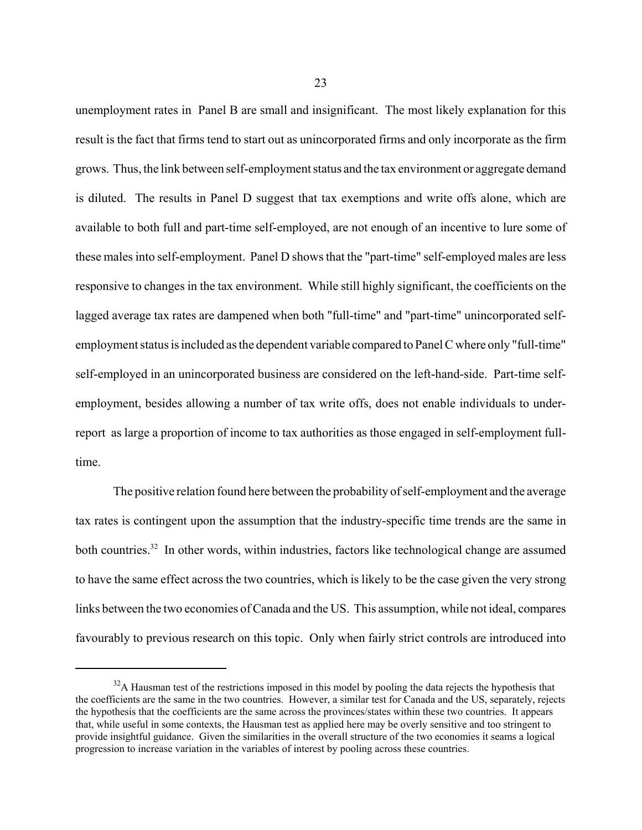unemployment rates in Panel B are small and insignificant. The most likely explanation for this result is the fact that firms tend to start out as unincorporated firms and only incorporate as the firm grows. Thus, the link between self-employment status and the tax environment or aggregate demand is diluted. The results in Panel D suggest that tax exemptions and write offs alone, which are available to both full and part-time self-employed, are not enough of an incentive to lure some of these males into self-employment. Panel D shows that the "part-time" self-employed males are less responsive to changes in the tax environment. While still highly significant, the coefficients on the lagged average tax rates are dampened when both "full-time" and "part-time" unincorporated selfemployment status is included as the dependent variable compared to Panel C where only "full-time" self-employed in an unincorporated business are considered on the left-hand-side. Part-time selfemployment, besides allowing a number of tax write offs, does not enable individuals to underreport as large a proportion of income to tax authorities as those engaged in self-employment fulltime.

The positive relation found here between the probability of self-employment and the average tax rates is contingent upon the assumption that the industry-specific time trends are the same in both countries.<sup>32</sup> In other words, within industries, factors like technological change are assumed to have the same effect across the two countries, which is likely to be the case given the very strong links between the two economies of Canada and the US. This assumption, while not ideal, compares favourably to previous research on this topic. Only when fairly strict controls are introduced into

 $32A$  Hausman test of the restrictions imposed in this model by pooling the data rejects the hypothesis that the coefficients are the same in the two countries. However, a similar test for Canada and the US, separately, rejects the hypothesis that the coefficients are the same across the provinces/states within these two countries. It appears that, while useful in some contexts, the Hausman test as applied here may be overly sensitive and too stringent to provide insightful guidance. Given the similarities in the overall structure of the two economies it seams a logical progression to increase variation in the variables of interest by pooling across these countries.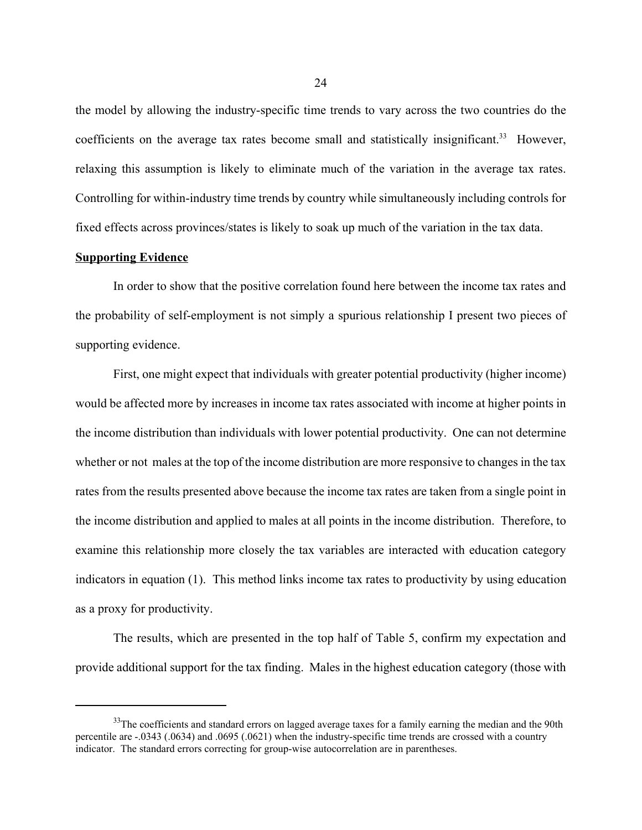the model by allowing the industry-specific time trends to vary across the two countries do the coefficients on the average tax rates become small and statistically insignificant.<sup>33</sup> However, relaxing this assumption is likely to eliminate much of the variation in the average tax rates. Controlling for within-industry time trends by country while simultaneously including controls for fixed effects across provinces/states is likely to soak up much of the variation in the tax data.

## **Supporting Evidence**

In order to show that the positive correlation found here between the income tax rates and the probability of self-employment is not simply a spurious relationship I present two pieces of supporting evidence.

First, one might expect that individuals with greater potential productivity (higher income) would be affected more by increases in income tax rates associated with income at higher points in the income distribution than individuals with lower potential productivity. One can not determine whether or not males at the top of the income distribution are more responsive to changes in the tax rates from the results presented above because the income tax rates are taken from a single point in the income distribution and applied to males at all points in the income distribution. Therefore, to examine this relationship more closely the tax variables are interacted with education category indicators in equation (1). This method links income tax rates to productivity by using education as a proxy for productivity.

The results, which are presented in the top half of Table 5, confirm my expectation and provide additional support for the tax finding. Males in the highest education category (those with

 $33$ The coefficients and standard errors on lagged average taxes for a family earning the median and the 90th percentile are -.0343 (.0634) and .0695 (.0621) when the industry-specific time trends are crossed with a country indicator. The standard errors correcting for group-wise autocorrelation are in parentheses.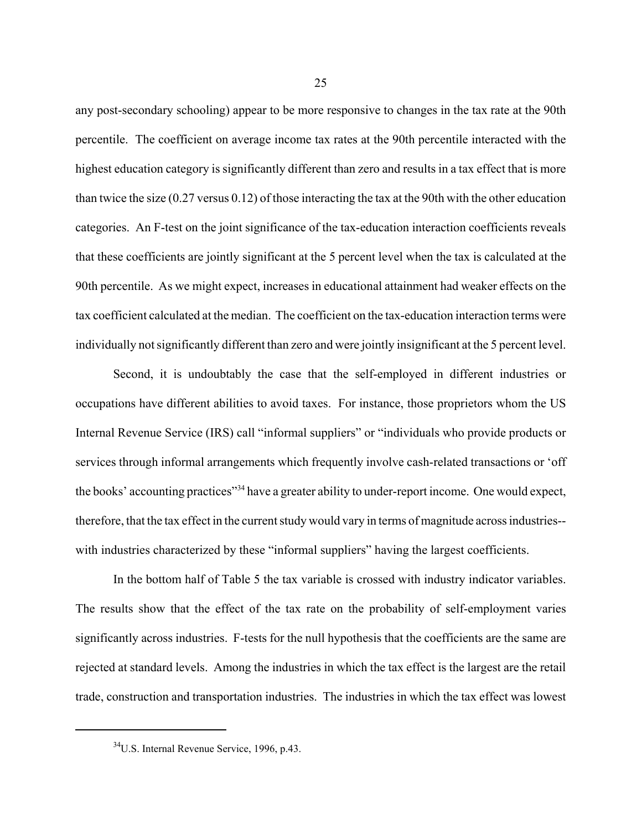any post-secondary schooling) appear to be more responsive to changes in the tax rate at the 90th percentile. The coefficient on average income tax rates at the 90th percentile interacted with the highest education category is significantly different than zero and results in a tax effect that is more than twice the size (0.27 versus 0.12) of those interacting the tax at the 90th with the other education categories. An F-test on the joint significance of the tax-education interaction coefficients reveals that these coefficients are jointly significant at the 5 percent level when the tax is calculated at the 90th percentile. As we might expect, increases in educational attainment had weaker effects on the tax coefficient calculated at the median. The coefficient on the tax-education interaction terms were individually not significantly different than zero and were jointly insignificant at the 5 percent level.

Second, it is undoubtably the case that the self-employed in different industries or occupations have different abilities to avoid taxes. For instance, those proprietors whom the US Internal Revenue Service (IRS) call "informal suppliers" or "individuals who provide products or services through informal arrangements which frequently involve cash-related transactions or 'off the books' accounting practices<sup>"34</sup> have a greater ability to under-report income. One would expect, therefore, that the tax effect in the current study would vary in terms of magnitude across industries- with industries characterized by these "informal suppliers" having the largest coefficients.

In the bottom half of Table 5 the tax variable is crossed with industry indicator variables. The results show that the effect of the tax rate on the probability of self-employment varies significantly across industries. F-tests for the null hypothesis that the coefficients are the same are rejected at standard levels. Among the industries in which the tax effect is the largest are the retail trade, construction and transportation industries. The industries in which the tax effect was lowest

<sup>&</sup>lt;sup>34</sup>U.S. Internal Revenue Service, 1996, p.43.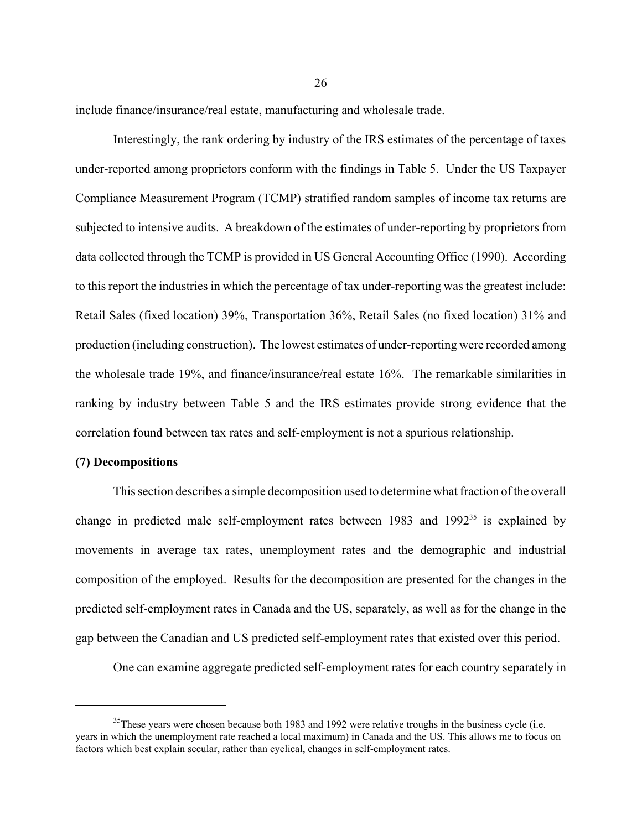include finance/insurance/real estate, manufacturing and wholesale trade.

Interestingly, the rank ordering by industry of the IRS estimates of the percentage of taxes under-reported among proprietors conform with the findings in Table 5. Under the US Taxpayer Compliance Measurement Program (TCMP) stratified random samples of income tax returns are subjected to intensive audits. A breakdown of the estimates of under-reporting by proprietors from data collected through the TCMP is provided in US General Accounting Office (1990). According to this report the industries in which the percentage of tax under-reporting was the greatest include: Retail Sales (fixed location) 39%, Transportation 36%, Retail Sales (no fixed location) 31% and production (including construction). The lowest estimates of under-reporting were recorded among the wholesale trade 19%, and finance/insurance/real estate 16%. The remarkable similarities in ranking by industry between Table 5 and the IRS estimates provide strong evidence that the correlation found between tax rates and self-employment is not a spurious relationship.

## **(7) Decompositions**

This section describes a simple decomposition used to determine what fraction of the overall change in predicted male self-employment rates between 1983 and  $1992^{35}$  is explained by movements in average tax rates, unemployment rates and the demographic and industrial composition of the employed. Results for the decomposition are presented for the changes in the predicted self-employment rates in Canada and the US, separately, as well as for the change in the gap between the Canadian and US predicted self-employment rates that existed over this period.

One can examine aggregate predicted self-employment rates for each country separately in

 $35$ These years were chosen because both 1983 and 1992 were relative troughs in the business cycle (i.e. years in which the unemployment rate reached a local maximum) in Canada and the US. This allows me to focus on factors which best explain secular, rather than cyclical, changes in self-employment rates.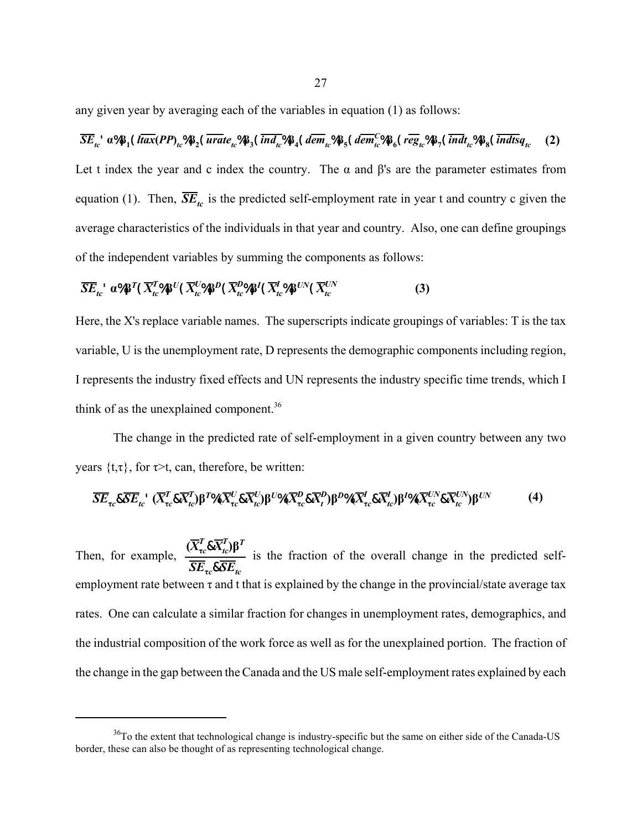any given year by averaging each of the variables in equation (1) as follows:

$$
\overline{SE}_{tc}^{\text{!`}} \alpha \mathcal{A}_1(\overline{tax}(PP)_{tc} \mathcal{A}_2(\overline{urate}_{tc} \mathcal{A}_3(\overline{ind}_{tc} \mathcal{A}_4(\overline{dem}_{tc} \mathcal{A}_5(\overline{dem}_{tc}^C \mathcal{A}_6(\overline{reg}_{tc} \mathcal{A}_7(\overline{ind}_{tc} \mathcal{A}_8(\overline{ind}_{sc} \mathcal{A}_6(\overline{ind}_{tc} \mathcal{A}_7(\overline{ind}_{tc} \mathcal{A}_7(\overline{ind}_{tc} \mathcal{A}_7(\overline{ind}_{tc} \mathcal{A}_7)))))))
$$

Let t index the year and c index the country. The  $\alpha$  and  $\beta$ 's are the parameter estimates from equation (1). Then,  $\overline{SE}_{tc}$  is the predicted self-employment rate in year t and country c given the average characteristics of the individuals in that year and country. Also, one can define groupings of the independent variables by summing the components as follows:

$$
\overline{SE}_{tc}^{\ \ i} \ \alpha \mathcal{A} \beta^{T} (\overline{X}_{tc}^{T} \mathcal{A} \beta^{U} (\overline{X}_{tc}^{U} \mathcal{A} \beta^{D} (\overline{X}_{tc}^{D} \mathcal{A} \beta^{U} (\overline{X}_{tc}^{U} \mathcal{A} \beta^{UN} (\overline{X}_{tc}^{UN} \tag{3})
$$

Here, the X's replace variable names. The superscripts indicate groupings of variables: T is the tax variable, U is the unemployment rate, D represents the demographic components including region, I represents the industry fixed effects and UN represents the industry specific time trends, which I think of as the unexplained component.36

The change in the predicted rate of self-employment in a given country between any two years  $\{t, \tau\}$ , for  $\tau > t$ , can, therefore, be written:

$$
\overline{SE}_{\tau c} \& \overline{SE}_{tc} \, (\overline{X}_{\tau c}^T \& \overline{X}_{tc}^T) \beta^T \mathcal{H} \overline{X}_{\tau c}^U \& \overline{X}_{tc}^U) \beta^U \mathcal{H} \overline{X}_{\tau c}^D \& \overline{X}_{t}^D) \beta^D \mathcal{H} \overline{X}_{\tau c}^I \& \overline{X}_{tc}^U) \beta^I \mathcal{H} \overline{X}_{\tau c}^{U N} \& \overline{X}_{tc}^{U N}) \beta^{U N} \tag{4}
$$

Then, for example,  $\frac{(\overline{X}_{\text{te}}^T \& \overline{X}_{\text{te}}^T)\bm{\beta}^T}{\equiv}$  is the fraction of the overall change in the predicted self- $\overline{SE}_{\tau c}$ & $\overline{SE}_{tc}$ employment rate between  $\tau$  and t that is explained by the change in the provincial/state average tax rates. One can calculate a similar fraction for changes in unemployment rates, demographics, and the industrial composition of the work force as well as for the unexplained portion. The fraction of the change in the gap between the Canada and the US male self-employment rates explained by each

<sup>&</sup>lt;sup>36</sup>To the extent that technological change is industry-specific but the same on either side of the Canada-US border, these can also be thought of as representing technological change.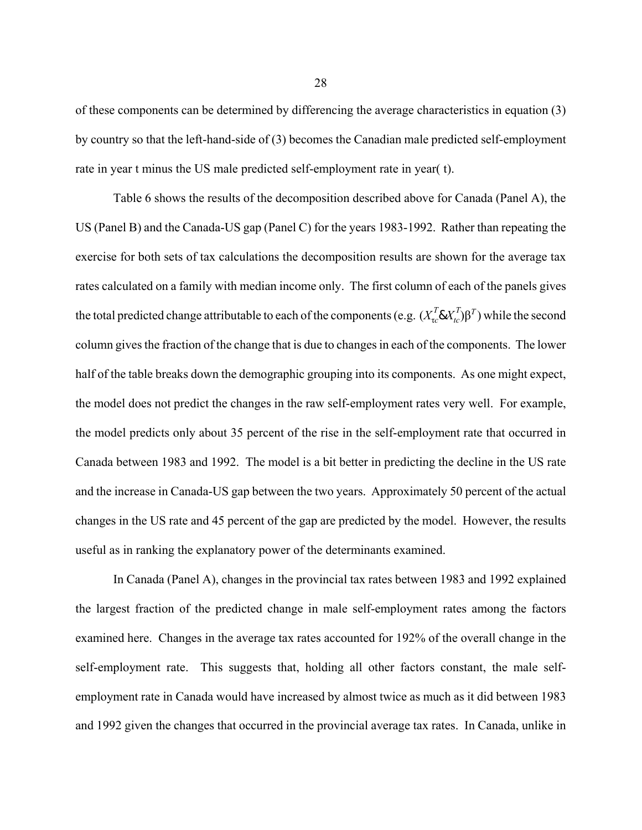of these components can be determined by differencing the average characteristics in equation (3) by country so that the left-hand-side of (3) becomes the Canadian male predicted self-employment rate in year t minus the US male predicted self-employment rate in year( t).

Table 6 shows the results of the decomposition described above for Canada (Panel A), the US (Panel B) and the Canada-US gap (Panel C) for the years 1983-1992. Rather than repeating the exercise for both sets of tax calculations the decomposition results are shown for the average tax rates calculated on a family with median income only. The first column of each of the panels gives the total predicted change attributable to each of the components (e.g.  $(X_{\tau c}^T \& X_{tc}^T)\beta^T$ ) while the second column gives the fraction of the change that is due to changes in each of the components. The lower half of the table breaks down the demographic grouping into its components. As one might expect, the model does not predict the changes in the raw self-employment rates very well. For example, the model predicts only about 35 percent of the rise in the self-employment rate that occurred in Canada between 1983 and 1992. The model is a bit better in predicting the decline in the US rate and the increase in Canada-US gap between the two years. Approximately 50 percent of the actual changes in the US rate and 45 percent of the gap are predicted by the model. However, the results useful as in ranking the explanatory power of the determinants examined.

In Canada (Panel A), changes in the provincial tax rates between 1983 and 1992 explained the largest fraction of the predicted change in male self-employment rates among the factors examined here. Changes in the average tax rates accounted for 192% of the overall change in the self-employment rate. This suggests that, holding all other factors constant, the male selfemployment rate in Canada would have increased by almost twice as much as it did between 1983 and 1992 given the changes that occurred in the provincial average tax rates. In Canada, unlike in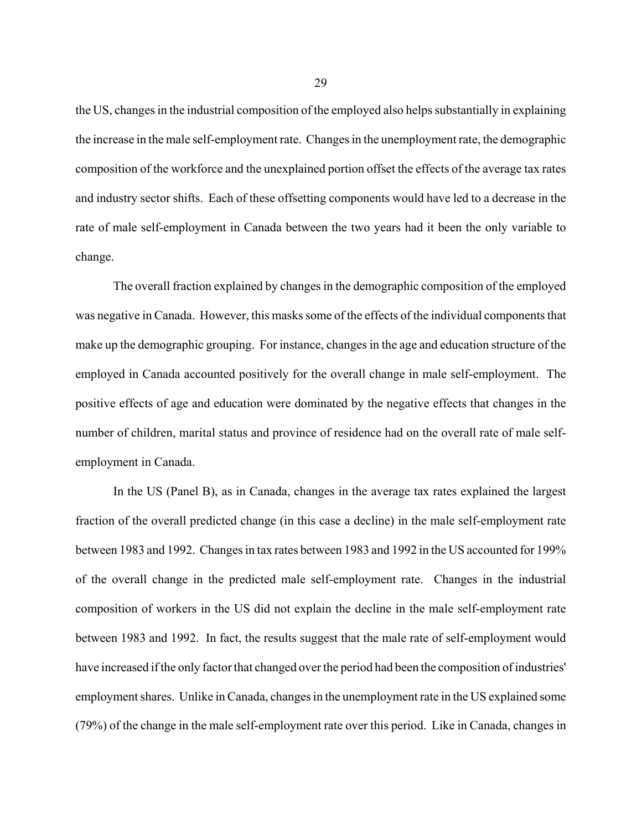the US, changes in the industrial composition of the employed also helps substantially in explaining the increase in the male self-employment rate. Changes in the unemployment rate, the demographic composition of the workforce and the unexplained portion offset the effects of the average tax rates and industry sector shifts. Each of these offsetting components would have led to a decrease in the rate of male self-employment in Canada between the two years had it been the only variable to change.

The overall fraction explained by changes in the demographic composition of the employed was negative in Canada. However, this masks some of the effects of the individual components that make up the demographic grouping. For instance, changes in the age and education structure of the employed in Canada accounted positively for the overall change in male self-employment. The positive effects of age and education were dominated by the negative effects that changes in the number of children, marital status and province of residence had on the overall rate of male selfemployment in Canada.

In the US (Panel B), as in Canada, changes in the average tax rates explained the largest fraction of the overall predicted change (in this case a decline) in the male self-employment rate between 1983 and 1992. Changes in tax rates between 1983 and 1992 in the US accounted for 199% of the overall change in the predicted male self-employment rate. Changes in the industrial composition of workers in the US did not explain the decline in the male self-employment rate between 1983 and 1992. In fact, the results suggest that the male rate of self-employment would have increased if the only factor that changed over the period had been the composition of industries' employment shares. Unlike in Canada, changes in the unemployment rate in the US explained some (79%) of the change in the male self-employment rate over this period. Like in Canada, changes in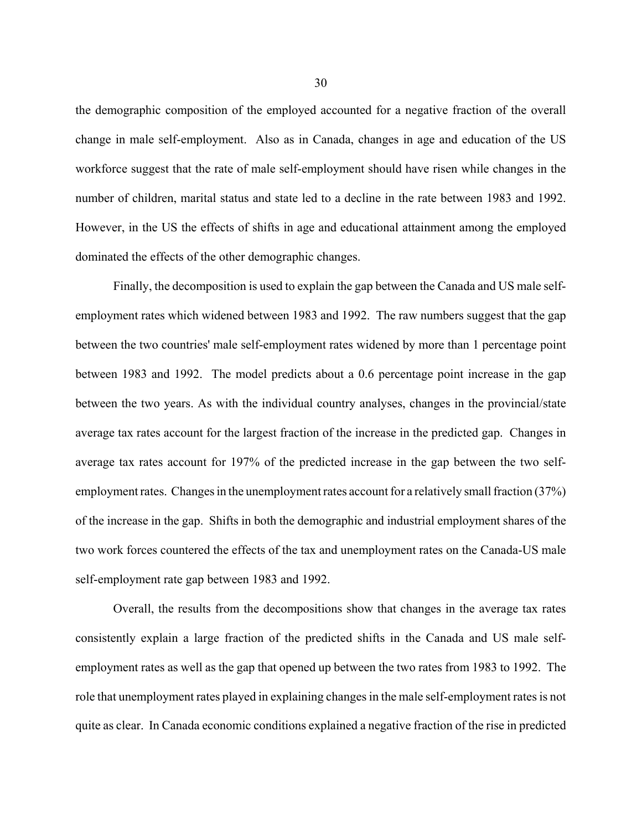the demographic composition of the employed accounted for a negative fraction of the overall change in male self-employment. Also as in Canada, changes in age and education of the US workforce suggest that the rate of male self-employment should have risen while changes in the number of children, marital status and state led to a decline in the rate between 1983 and 1992. However, in the US the effects of shifts in age and educational attainment among the employed dominated the effects of the other demographic changes.

Finally, the decomposition is used to explain the gap between the Canada and US male selfemployment rates which widened between 1983 and 1992. The raw numbers suggest that the gap between the two countries' male self-employment rates widened by more than 1 percentage point between 1983 and 1992. The model predicts about a 0.6 percentage point increase in the gap between the two years. As with the individual country analyses, changes in the provincial/state average tax rates account for the largest fraction of the increase in the predicted gap. Changes in average tax rates account for 197% of the predicted increase in the gap between the two selfemployment rates. Changes in the unemployment rates account for a relatively small fraction (37%) of the increase in the gap. Shifts in both the demographic and industrial employment shares of the two work forces countered the effects of the tax and unemployment rates on the Canada-US male self-employment rate gap between 1983 and 1992.

Overall, the results from the decompositions show that changes in the average tax rates consistently explain a large fraction of the predicted shifts in the Canada and US male selfemployment rates as well as the gap that opened up between the two rates from 1983 to 1992. The role that unemployment rates played in explaining changes in the male self-employment rates is not quite as clear. In Canada economic conditions explained a negative fraction of the rise in predicted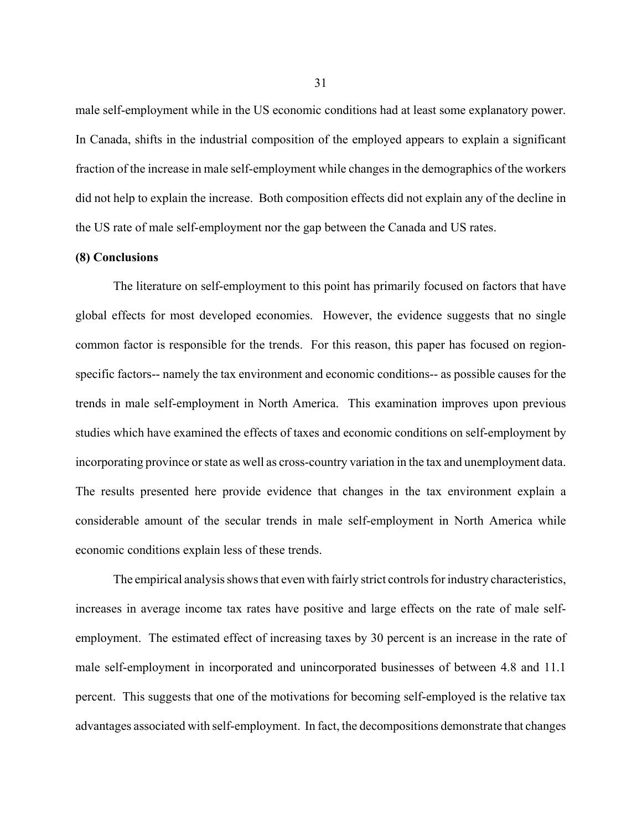male self-employment while in the US economic conditions had at least some explanatory power. In Canada, shifts in the industrial composition of the employed appears to explain a significant fraction of the increase in male self-employment while changes in the demographics of the workers did not help to explain the increase. Both composition effects did not explain any of the decline in the US rate of male self-employment nor the gap between the Canada and US rates.

### **(8) Conclusions**

The literature on self-employment to this point has primarily focused on factors that have global effects for most developed economies. However, the evidence suggests that no single common factor is responsible for the trends. For this reason, this paper has focused on regionspecific factors-- namely the tax environment and economic conditions-- as possible causes for the trends in male self-employment in North America. This examination improves upon previous studies which have examined the effects of taxes and economic conditions on self-employment by incorporating province or state as well as cross-country variation in the tax and unemployment data. The results presented here provide evidence that changes in the tax environment explain a considerable amount of the secular trends in male self-employment in North America while economic conditions explain less of these trends.

The empirical analysis shows that even with fairly strict controls for industry characteristics, increases in average income tax rates have positive and large effects on the rate of male selfemployment. The estimated effect of increasing taxes by 30 percent is an increase in the rate of male self-employment in incorporated and unincorporated businesses of between 4.8 and 11.1 percent. This suggests that one of the motivations for becoming self-employed is the relative tax advantages associated with self-employment. In fact, the decompositions demonstrate that changes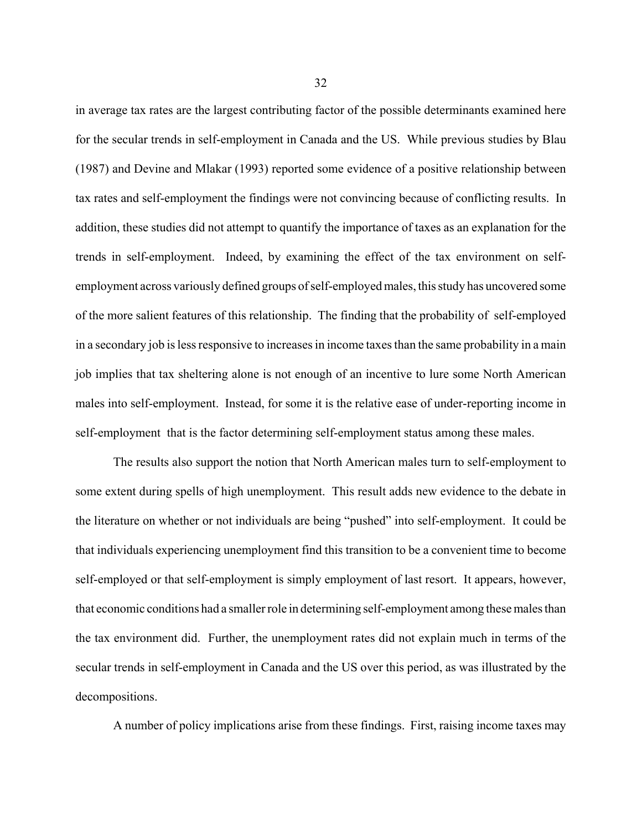in average tax rates are the largest contributing factor of the possible determinants examined here for the secular trends in self-employment in Canada and the US. While previous studies by Blau (1987) and Devine and Mlakar (1993) reported some evidence of a positive relationship between tax rates and self-employment the findings were not convincing because of conflicting results. In addition, these studies did not attempt to quantify the importance of taxes as an explanation for the trends in self-employment. Indeed, by examining the effect of the tax environment on selfemployment across variously defined groups of self-employed males, this study has uncovered some of the more salient features of this relationship. The finding that the probability of self-employed in a secondary job is less responsive to increases in income taxes than the same probability in a main job implies that tax sheltering alone is not enough of an incentive to lure some North American males into self-employment. Instead, for some it is the relative ease of under-reporting income in self-employment that is the factor determining self-employment status among these males.

The results also support the notion that North American males turn to self-employment to some extent during spells of high unemployment. This result adds new evidence to the debate in the literature on whether or not individuals are being "pushed" into self-employment. It could be that individuals experiencing unemployment find this transition to be a convenient time to become self-employed or that self-employment is simply employment of last resort. It appears, however, that economic conditions had a smaller role in determining self-employment among these males than the tax environment did. Further, the unemployment rates did not explain much in terms of the secular trends in self-employment in Canada and the US over this period, as was illustrated by the decompositions.

A number of policy implications arise from these findings. First, raising income taxes may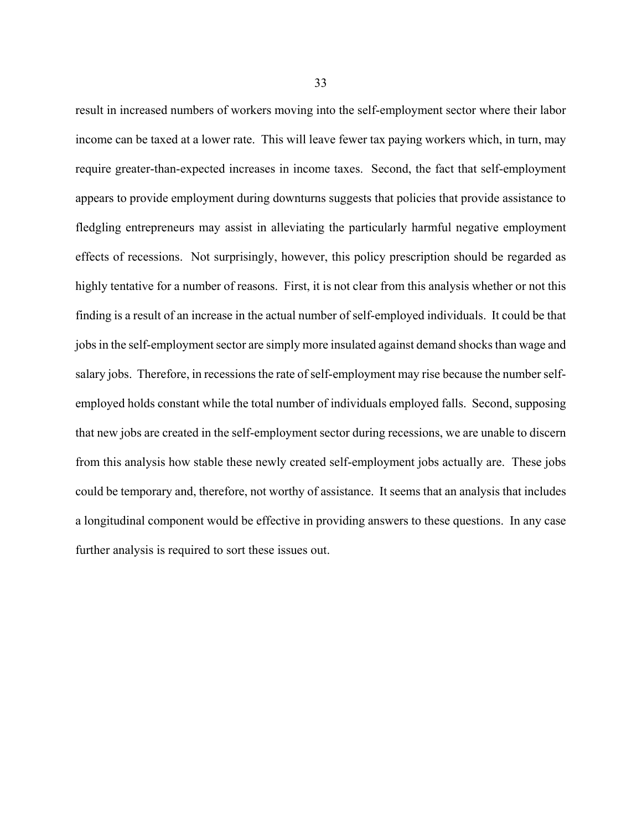result in increased numbers of workers moving into the self-employment sector where their labor income can be taxed at a lower rate. This will leave fewer tax paying workers which, in turn, may require greater-than-expected increases in income taxes. Second, the fact that self-employment appears to provide employment during downturns suggests that policies that provide assistance to fledgling entrepreneurs may assist in alleviating the particularly harmful negative employment effects of recessions. Not surprisingly, however, this policy prescription should be regarded as highly tentative for a number of reasons. First, it is not clear from this analysis whether or not this finding is a result of an increase in the actual number of self-employed individuals. It could be that jobs in the self-employment sector are simply more insulated against demand shocks than wage and salary jobs. Therefore, in recessions the rate of self-employment may rise because the number selfemployed holds constant while the total number of individuals employed falls. Second, supposing that new jobs are created in the self-employment sector during recessions, we are unable to discern from this analysis how stable these newly created self-employment jobs actually are. These jobs could be temporary and, therefore, not worthy of assistance. It seems that an analysis that includes a longitudinal component would be effective in providing answers to these questions. In any case further analysis is required to sort these issues out.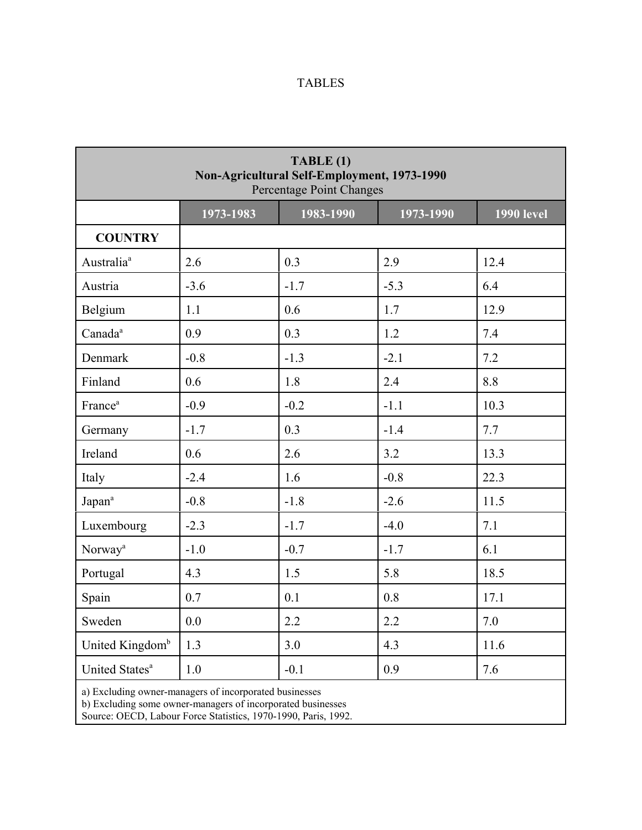| ۱D۱ |
|-----|
|-----|

| TABLE (1)<br>Non-Agricultural Self-Employment, 1973-1990<br>Percentage Point Changes                                  |           |           |           |                   |  |  |  |  |
|-----------------------------------------------------------------------------------------------------------------------|-----------|-----------|-----------|-------------------|--|--|--|--|
|                                                                                                                       | 1973-1983 | 1983-1990 | 1973-1990 | <b>1990</b> level |  |  |  |  |
| <b>COUNTRY</b>                                                                                                        |           |           |           |                   |  |  |  |  |
| Australia <sup>a</sup>                                                                                                | 2.6       | 0.3       | 2.9       | 12.4              |  |  |  |  |
| Austria                                                                                                               | $-3.6$    | $-1.7$    | $-5.3$    | 6.4               |  |  |  |  |
| Belgium                                                                                                               | 1.1       | 0.6       | 1.7       | 12.9              |  |  |  |  |
| Canada <sup>a</sup>                                                                                                   | 0.9       | 0.3       | 1.2       | 7.4               |  |  |  |  |
| Denmark                                                                                                               | $-0.8$    | $-1.3$    | $-2.1$    | 7.2               |  |  |  |  |
| Finland                                                                                                               | 0.6       | 1.8       | 2.4       | 8.8               |  |  |  |  |
| France <sup>a</sup>                                                                                                   | $-0.9$    | $-0.2$    | $-1.1$    | 10.3              |  |  |  |  |
| Germany                                                                                                               | $-1.7$    | 0.3       | $-1.4$    | 7.7               |  |  |  |  |
| Ireland                                                                                                               | 0.6       | 2.6       | 3.2       | 13.3              |  |  |  |  |
| Italy                                                                                                                 | $-2.4$    | 1.6       | $-0.8$    | 22.3              |  |  |  |  |
| Japan <sup>a</sup>                                                                                                    | $-0.8$    | $-1.8$    | $-2.6$    | 11.5              |  |  |  |  |
| Luxembourg                                                                                                            | $-2.3$    | $-1.7$    | $-4.0$    | 7.1               |  |  |  |  |
| Norway <sup>a</sup>                                                                                                   | $-1.0$    | $-0.7$    | $-1.7$    | 6.1               |  |  |  |  |
| Portugal                                                                                                              | 4.3       | 1.5       | 5.8       | 18.5              |  |  |  |  |
| Spain                                                                                                                 | 0.7       | 0.1       | 0.8       | 17.1              |  |  |  |  |
| Sweden                                                                                                                | 0.0       | 2.2       | 2.2       | 7.0               |  |  |  |  |
| United Kingdom <sup>b</sup>                                                                                           | 1.3       | 3.0       | 4.3       | 11.6              |  |  |  |  |
| United States <sup>a</sup>                                                                                            | 1.0       | $-0.1$    | 0.9       | 7.6               |  |  |  |  |
| a) Excluding owner-managers of incorporated businesses<br>b) Excluding some owner-managers of incorporated businesses |           |           |           |                   |  |  |  |  |

Source: OECD, Labour Force Statistics, 1970-1990, Paris, 1992.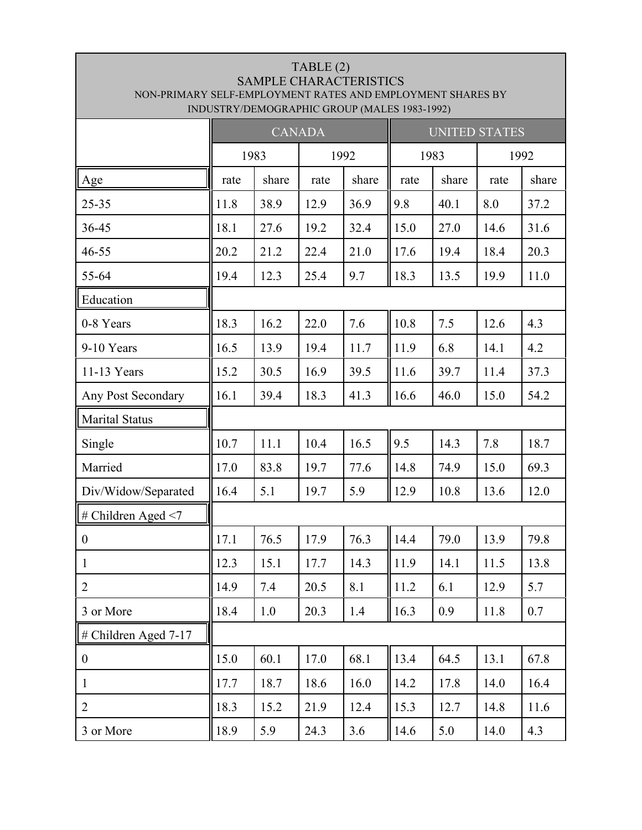| TABLE (2)<br><b>SAMPLE CHARACTERISTICS</b><br>NON-PRIMARY SELF-EMPLOYMENT RATES AND EMPLOYMENT SHARES BY<br>INDUSTRY/DEMOGRAPHIC GROUP (MALES 1983-1992) |      |       |               |       |      |       |                      |       |
|----------------------------------------------------------------------------------------------------------------------------------------------------------|------|-------|---------------|-------|------|-------|----------------------|-------|
|                                                                                                                                                          |      |       | <b>CANADA</b> |       |      |       | <b>UNITED STATES</b> |       |
|                                                                                                                                                          |      | 1983  |               | 1992  |      | 1983  |                      | 1992  |
| Age                                                                                                                                                      | rate | share | rate          | share | rate | share | rate                 | share |
| $25 - 35$                                                                                                                                                | 11.8 | 38.9  | 12.9          | 36.9  | 9.8  | 40.1  | 8.0                  | 37.2  |
| 36-45                                                                                                                                                    | 18.1 | 27.6  | 19.2          | 32.4  | 15.0 | 27.0  | 14.6                 | 31.6  |
| $46 - 55$                                                                                                                                                | 20.2 | 21.2  | 22.4          | 21.0  | 17.6 | 19.4  | 18.4                 | 20.3  |
| 55-64                                                                                                                                                    | 19.4 | 12.3  | 25.4          | 9.7   | 18.3 | 13.5  | 19.9                 | 11.0  |
| Education                                                                                                                                                |      |       |               |       |      |       |                      |       |
| 0-8 Years                                                                                                                                                | 18.3 | 16.2  | 22.0          | 7.6   | 10.8 | 7.5   | 12.6                 | 4.3   |
| 9-10 Years                                                                                                                                               | 16.5 | 13.9  | 19.4          | 11.7  | 11.9 | 6.8   | 14.1                 | 4.2   |
| 11-13 Years                                                                                                                                              | 15.2 | 30.5  | 16.9          | 39.5  | 11.6 | 39.7  | 11.4                 | 37.3  |
| Any Post Secondary                                                                                                                                       | 16.1 | 39.4  | 18.3          | 41.3  | 16.6 | 46.0  | 15.0                 | 54.2  |
| <b>Marital Status</b>                                                                                                                                    |      |       |               |       |      |       |                      |       |
| Single                                                                                                                                                   | 10.7 | 11.1  | 10.4          | 16.5  | 9.5  | 14.3  | 7.8                  | 18.7  |
| Married                                                                                                                                                  | 17.0 | 83.8  | 19.7          | 77.6  | 14.8 | 74.9  | 15.0                 | 69.3  |
| Div/Widow/Separated                                                                                                                                      | 16.4 | 5.1   | 19.7          | 5.9   | 12.9 | 10.8  | 13.6                 | 12.0  |
| $\#$ Children Aged <7                                                                                                                                    |      |       |               |       |      |       |                      |       |
| $\boldsymbol{0}$                                                                                                                                         | 17.1 | 76.5  | 17.9          | 76.3  | 14.4 | 79.0  | 13.9                 | 79.8  |
| $\mathbf{1}$                                                                                                                                             | 12.3 | 15.1  | 17.7          | 14.3  | 11.9 | 14.1  | 11.5                 | 13.8  |
| $\overline{2}$                                                                                                                                           | 14.9 | 7.4   | 20.5          | 8.1   | 11.2 | 6.1   | 12.9                 | 5.7   |
| 3 or More                                                                                                                                                | 18.4 | 1.0   | 20.3          | 1.4   | 16.3 | 0.9   | 11.8                 | 0.7   |
| # Children Aged 7-17                                                                                                                                     |      |       |               |       |      |       |                      |       |
| $\boldsymbol{0}$                                                                                                                                         | 15.0 | 60.1  | 17.0          | 68.1  | 13.4 | 64.5  | 13.1                 | 67.8  |
| $\mathbf{1}$                                                                                                                                             | 17.7 | 18.7  | 18.6          | 16.0  | 14.2 | 17.8  | 14.0                 | 16.4  |
| $\overline{2}$                                                                                                                                           | 18.3 | 15.2  | 21.9          | 12.4  | 15.3 | 12.7  | 14.8                 | 11.6  |
| 3 or More                                                                                                                                                | 18.9 | 5.9   | 24.3          | 3.6   | 14.6 | 5.0   | 14.0                 | 4.3   |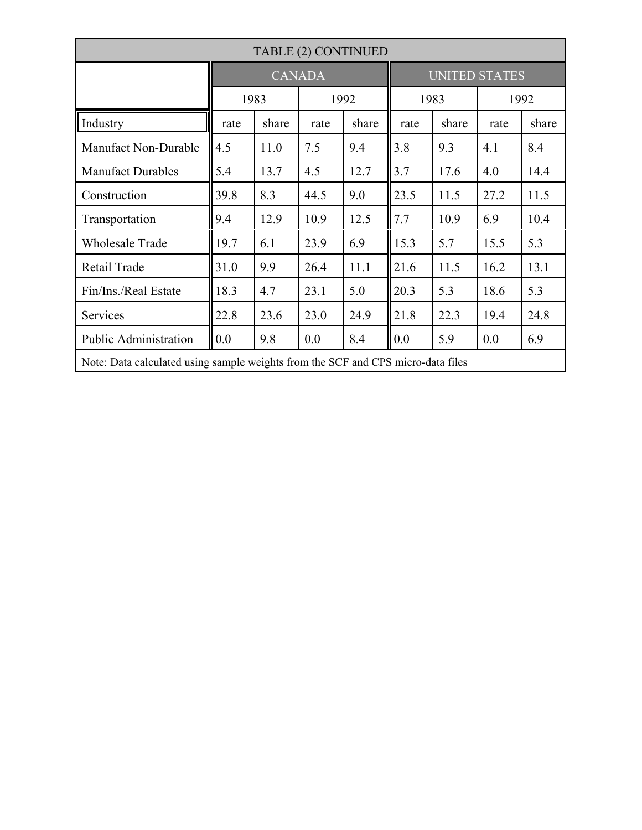| TABLE (2) CONTINUED          |                                                                                  |       |               |       |                      |       |      |       |  |
|------------------------------|----------------------------------------------------------------------------------|-------|---------------|-------|----------------------|-------|------|-------|--|
|                              |                                                                                  |       | <b>CANADA</b> |       | <b>UNITED STATES</b> |       |      |       |  |
|                              | 1983                                                                             |       | 1992          |       |                      | 1983  |      | 1992  |  |
| Industry                     | rate                                                                             | share | rate          | share | rate                 | share | rate | share |  |
| Manufact Non-Durable         | 4.5                                                                              | 11.0  | 7.5           | 9.4   | 3.8                  | 9.3   | 4.1  | 8.4   |  |
| <b>Manufact Durables</b>     | 5.4                                                                              | 13.7  | 4.5           | 12.7  | 3.7                  | 17.6  | 4.0  | 14.4  |  |
| Construction                 | 39.8                                                                             | 8.3   | 44.5          | 9.0   | 23.5                 | 11.5  | 27.2 | 11.5  |  |
| Transportation               | 9.4                                                                              | 12.9  | 10.9          | 12.5  | 7.7                  | 10.9  | 6.9  | 10.4  |  |
| <b>Wholesale Trade</b>       | 19.7                                                                             | 6.1   | 23.9          | 6.9   | 15.3                 | 5.7   | 15.5 | 5.3   |  |
| Retail Trade                 | 31.0                                                                             | 9.9   | 26.4          | 11.1  | 21.6                 | 11.5  | 16.2 | 13.1  |  |
| Fin/Ins./Real Estate         | 18.3                                                                             | 4.7   | 23.1          | 5.0   | 20.3                 | 5.3   | 18.6 | 5.3   |  |
| Services                     | 22.8                                                                             | 23.6  | 23.0          | 24.9  | 21.8                 | 22.3  | 19.4 | 24.8  |  |
| <b>Public Administration</b> | 0.0                                                                              | 9.8   | 0.0           | 8.4   | 0.0                  | 5.9   | 0.0  | 6.9   |  |
|                              | Note: Data calculated using sample weights from the SCF and CPS micro-data files |       |               |       |                      |       |      |       |  |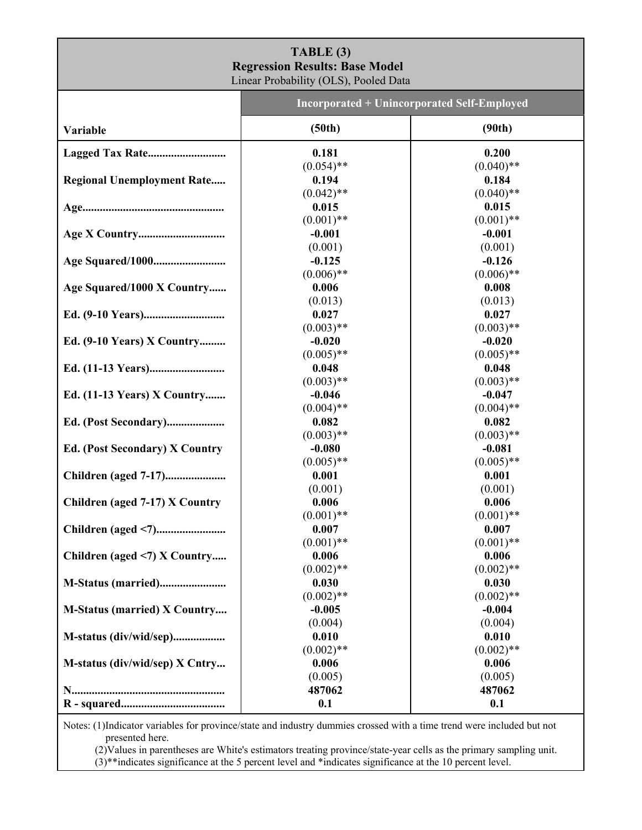|                                       | TABLE (3)<br><b>Regression Results: Base Model</b><br>Linear Probability (OLS), Pooled Data |                       |  |  |  |  |
|---------------------------------------|---------------------------------------------------------------------------------------------|-----------------------|--|--|--|--|
|                                       | <b>Incorporated + Unincorporated Self-Employed</b>                                          |                       |  |  |  |  |
| Variable                              | (50th)                                                                                      | (90th)                |  |  |  |  |
|                                       | 0.181                                                                                       | 0.200                 |  |  |  |  |
| <b>Regional Unemployment Rate</b>     | $(0.054)$ **<br>0.194                                                                       | $(0.040)$ **<br>0.184 |  |  |  |  |
|                                       | $(0.042)$ **                                                                                | $(0.040)$ **          |  |  |  |  |
|                                       | 0.015                                                                                       | 0.015                 |  |  |  |  |
|                                       | $(0.001)$ **                                                                                | $(0.001)$ **          |  |  |  |  |
|                                       | $-0.001$                                                                                    | $-0.001$              |  |  |  |  |
|                                       | (0.001)                                                                                     | (0.001)               |  |  |  |  |
|                                       | $-0.125$                                                                                    | $-0.126$              |  |  |  |  |
|                                       | $(0.006)$ **                                                                                | $(0.006)$ **          |  |  |  |  |
| Age Squared/1000 X Country            | 0.006                                                                                       | 0.008                 |  |  |  |  |
|                                       | (0.013)                                                                                     | (0.013)               |  |  |  |  |
|                                       | 0.027<br>$(0.003)$ **                                                                       | 0.027<br>$(0.003)$ ** |  |  |  |  |
| Ed. (9-10 Years) X Country            | $-0.020$                                                                                    | $-0.020$              |  |  |  |  |
|                                       | $(0.005)$ **                                                                                | $(0.005)$ **          |  |  |  |  |
|                                       | 0.048                                                                                       | 0.048                 |  |  |  |  |
|                                       | $(0.003)$ **                                                                                | $(0.003)$ **          |  |  |  |  |
| Ed. (11-13 Years) X Country           | $-0.046$                                                                                    | $-0.047$              |  |  |  |  |
|                                       | $(0.004)$ **                                                                                | $(0.004)$ **          |  |  |  |  |
| Ed. (Post Secondary)                  | 0.082                                                                                       | 0.082                 |  |  |  |  |
|                                       | $(0.003)$ **                                                                                | $(0.003)$ **          |  |  |  |  |
| <b>Ed. (Post Secondary) X Country</b> | $-0.080$                                                                                    | $-0.081$              |  |  |  |  |
|                                       | $(0.005)$ **                                                                                | $(0.005)$ **          |  |  |  |  |
| Children (aged 7-17)                  | 0.001                                                                                       | 0.001                 |  |  |  |  |
|                                       | (0.001)                                                                                     | (0.001)               |  |  |  |  |
| Children (aged 7-17) X Country        | 0.006                                                                                       | 0.006                 |  |  |  |  |
|                                       | $(0.001)$ **                                                                                | $(0.001)$ **          |  |  |  |  |
|                                       | 0.007                                                                                       | 0.007                 |  |  |  |  |
|                                       | $(0.001)$ **                                                                                | $(0.001)$ **          |  |  |  |  |
| Children (aged <7) X Country          | 0.006                                                                                       | 0.006                 |  |  |  |  |
|                                       | $(0.002)$ **                                                                                | $(0.002)$ **          |  |  |  |  |
|                                       | 0.030<br>$(0.002)$ **                                                                       | 0.030<br>$(0.002)$ ** |  |  |  |  |
| <b>M-Status (married) X Country</b>   | $-0.005$                                                                                    | $-0.004$              |  |  |  |  |
|                                       | (0.004)                                                                                     | (0.004)               |  |  |  |  |
| M-status (div/wid/sep)                | 0.010                                                                                       | 0.010                 |  |  |  |  |
|                                       | $(0.002)$ **                                                                                | $(0.002)$ **          |  |  |  |  |
| M-status (div/wid/sep) X Cntry        | 0.006                                                                                       | 0.006                 |  |  |  |  |
|                                       | (0.005)                                                                                     | (0.005)               |  |  |  |  |
|                                       | 487062                                                                                      | 487062                |  |  |  |  |
|                                       | 0.1                                                                                         | 0.1                   |  |  |  |  |

Notes: (1)Indicator variables for province/state and industry dummies crossed with a time trend were included but not presented here.

(2)Values in parentheses are White's estimators treating province/state-year cells as the primary sampling unit.

(3)\*\*indicates significance at the 5 percent level and \*indicates significance at the 10 percent level.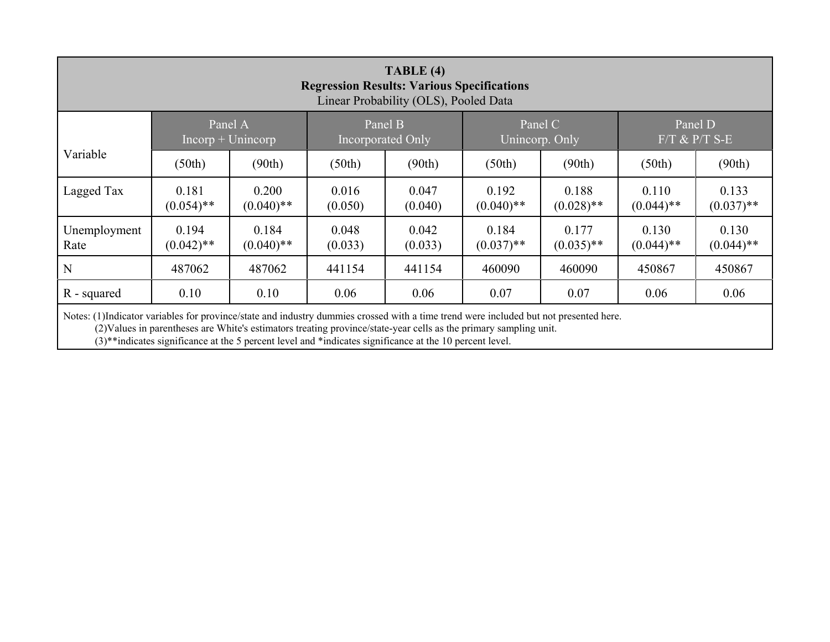| TABLE(4)<br><b>Regression Results: Various Specifications</b><br>Linear Probability (OLS), Pooled Data                                |                       |                                                                       |                  |                           |                       |                              |                       |                       |  |  |  |
|---------------------------------------------------------------------------------------------------------------------------------------|-----------------------|-----------------------------------------------------------------------|------------------|---------------------------|-----------------------|------------------------------|-----------------------|-----------------------|--|--|--|
|                                                                                                                                       |                       | Panel A<br>Panel B<br>$Incorp + Unincorp$<br><b>Incorporated Only</b> |                  | Panel C<br>Unincorp. Only |                       | Panel D<br>$F/T$ & $P/T$ S-E |                       |                       |  |  |  |
| Variable                                                                                                                              | (50th)                | (90th)                                                                | (50th)           | (90th)                    | (50th)                | (90th)                       | (50th)                | (90th)                |  |  |  |
| Lagged Tax                                                                                                                            | 0.181<br>$(0.054)$ ** | 0.200<br>$(0.040)$ **                                                 | 0.016<br>(0.050) | 0.047<br>(0.040)          | 0.192<br>$(0.040)$ ** | 0.188<br>$(0.028)$ **        | 0.110<br>$(0.044)$ ** | 0.133<br>$(0.037)$ ** |  |  |  |
| Unemployment<br>Rate                                                                                                                  | 0.194<br>$(0.042)$ ** | 0.184<br>$(0.040)$ **                                                 | 0.048<br>(0.033) | 0.042<br>(0.033)          | 0.184<br>$(0.037)$ ** | 0.177<br>$(0.035)$ **        | 0.130<br>$(0.044)$ ** | 0.130<br>$(0.044)$ ** |  |  |  |
| N                                                                                                                                     | 487062                | 487062                                                                | 441154           | 441154                    | 460090                | 460090                       | 450867                | 450867                |  |  |  |
| R - squared                                                                                                                           | 0.10                  | 0.10                                                                  | 0.06             | 0.06                      | 0.07                  | 0.07                         | 0.06                  | 0.06                  |  |  |  |
| Notes: (1)Indicator variables for province/state and industry dummies crossed with a time trend were included but not presented here. |                       |                                                                       |                  |                           |                       |                              |                       |                       |  |  |  |

(2)Values in parentheses are White's estimators treating province/state-year cells as the primary sampling unit.

(3)\*\*indicates significance at the 5 percent level and \*indicates significance at the 10 percent level.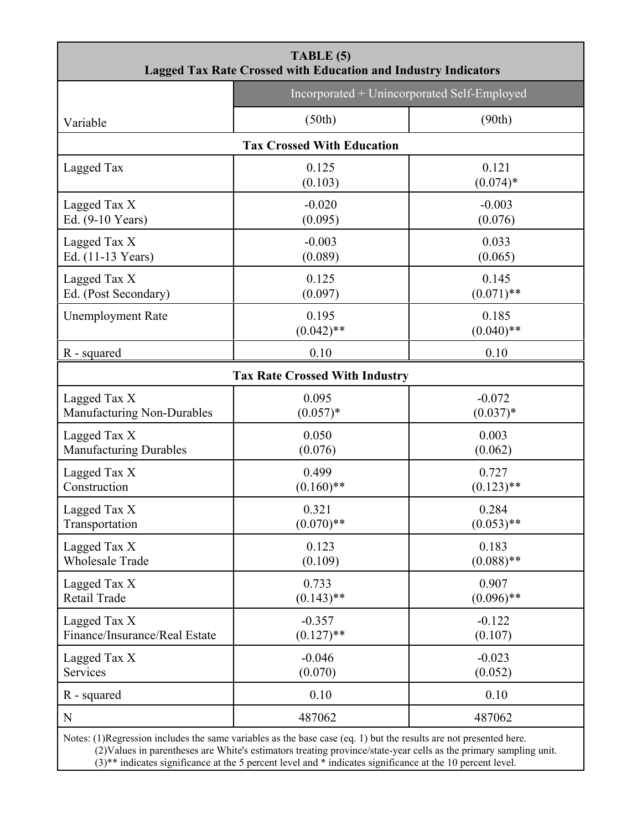| TABLE (5)<br><b>Lagged Tax Rate Crossed with Education and Industry Indicators</b>                                |                                                                                                                   |                                             |  |  |  |  |  |  |
|-------------------------------------------------------------------------------------------------------------------|-------------------------------------------------------------------------------------------------------------------|---------------------------------------------|--|--|--|--|--|--|
|                                                                                                                   |                                                                                                                   | Incorporated + Unincorporated Self-Employed |  |  |  |  |  |  |
| Variable                                                                                                          | (50th)                                                                                                            | (90th)                                      |  |  |  |  |  |  |
| <b>Tax Crossed With Education</b>                                                                                 |                                                                                                                   |                                             |  |  |  |  |  |  |
| Lagged Tax                                                                                                        | 0.125<br>(0.103)                                                                                                  | 0.121<br>$(0.074)$ *                        |  |  |  |  |  |  |
| Lagged Tax X                                                                                                      | $-0.020$                                                                                                          | $-0.003$                                    |  |  |  |  |  |  |
| Ed. (9-10 Years)                                                                                                  | (0.095)                                                                                                           | (0.076)                                     |  |  |  |  |  |  |
| Lagged Tax X                                                                                                      | $-0.003$                                                                                                          | 0.033                                       |  |  |  |  |  |  |
| Ed. (11-13 Years)                                                                                                 | (0.089)                                                                                                           | (0.065)                                     |  |  |  |  |  |  |
| Lagged Tax X                                                                                                      | 0.125                                                                                                             | 0.145                                       |  |  |  |  |  |  |
| Ed. (Post Secondary)                                                                                              | (0.097)                                                                                                           | $(0.071)$ **                                |  |  |  |  |  |  |
| <b>Unemployment Rate</b>                                                                                          | 0.195<br>$(0.042)$ **                                                                                             | 0.185<br>$(0.040)$ **                       |  |  |  |  |  |  |
| R - squared                                                                                                       | 0.10                                                                                                              | 0.10                                        |  |  |  |  |  |  |
| <b>Tax Rate Crossed With Industry</b>                                                                             |                                                                                                                   |                                             |  |  |  |  |  |  |
| Lagged Tax X                                                                                                      | 0.095                                                                                                             | $-0.072$                                    |  |  |  |  |  |  |
| Manufacturing Non-Durables                                                                                        | $(0.057)*$                                                                                                        | $(0.037)^*$                                 |  |  |  |  |  |  |
| Lagged Tax X                                                                                                      | 0.050                                                                                                             | 0.003                                       |  |  |  |  |  |  |
| <b>Manufacturing Durables</b>                                                                                     | (0.076)                                                                                                           | (0.062)                                     |  |  |  |  |  |  |
| Lagged Tax X                                                                                                      | 0.499                                                                                                             | 0.727                                       |  |  |  |  |  |  |
| Construction                                                                                                      | $(0.160)$ **                                                                                                      | $(0.123)$ **                                |  |  |  |  |  |  |
| Lagged Tax X                                                                                                      | 0.321                                                                                                             | 0.284                                       |  |  |  |  |  |  |
| Transportation                                                                                                    | $(0.070)**$                                                                                                       | $(0.053)$ **                                |  |  |  |  |  |  |
| Lagged Tax X                                                                                                      | 0.123                                                                                                             | 0.183                                       |  |  |  |  |  |  |
| Wholesale Trade                                                                                                   | (0.109)                                                                                                           | $(0.088)$ **                                |  |  |  |  |  |  |
| Lagged Tax X                                                                                                      | 0.733                                                                                                             | 0.907                                       |  |  |  |  |  |  |
| Retail Trade                                                                                                      | $(0.143)$ **                                                                                                      | $(0.096)$ **                                |  |  |  |  |  |  |
| Lagged Tax X                                                                                                      | $-0.357$                                                                                                          | $-0.122$                                    |  |  |  |  |  |  |
| Finance/Insurance/Real Estate                                                                                     | $(0.127)$ **                                                                                                      | (0.107)                                     |  |  |  |  |  |  |
| Lagged Tax X                                                                                                      | $-0.046$                                                                                                          | $-0.023$                                    |  |  |  |  |  |  |
| Services                                                                                                          | (0.070)                                                                                                           | (0.052)                                     |  |  |  |  |  |  |
| R - squared                                                                                                       | 0.10                                                                                                              | 0.10                                        |  |  |  |  |  |  |
| N                                                                                                                 | 487062                                                                                                            | 487062                                      |  |  |  |  |  |  |
| Notes: (1)Regression includes the same variables as the base case (eq. 1) but the results are not presented here. | (2) Values in parentheses are White's estimators treating province/state-year cells as the primary sampling unit. |                                             |  |  |  |  |  |  |

(3)\*\* indicates significance at the 5 percent level and \* indicates significance at the 10 percent level.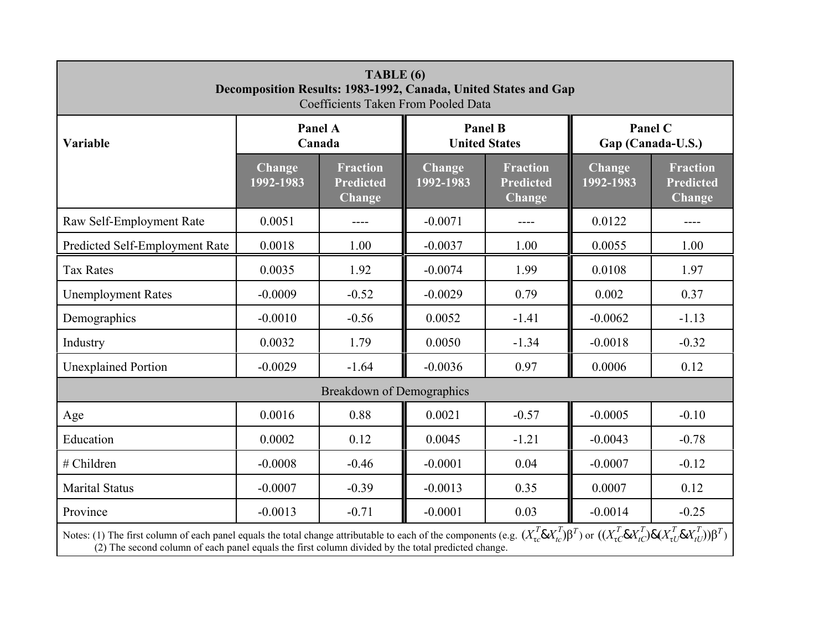| TABLE (6)<br>Decomposition Results: 1983-1992, Canada, United States and Gap<br>Coefficients Taken From Pooled Data                                                                                                                                                                                                                          |                            |                                               |                        |                                                      |                              |                                                      |  |  |  |
|----------------------------------------------------------------------------------------------------------------------------------------------------------------------------------------------------------------------------------------------------------------------------------------------------------------------------------------------|----------------------------|-----------------------------------------------|------------------------|------------------------------------------------------|------------------------------|------------------------------------------------------|--|--|--|
| <b>Variable</b>                                                                                                                                                                                                                                                                                                                              | Panel A<br>Canada          |                                               |                        | <b>Panel B</b><br><b>United States</b>               | Panel C<br>Gap (Canada-U.S.) |                                                      |  |  |  |
|                                                                                                                                                                                                                                                                                                                                              | <b>Change</b><br>1992-1983 | <b>Fraction</b><br><b>Predicted</b><br>Change | $C$ hange<br>1992-1983 | <b>Fraction</b><br><b>Predicted</b><br><b>Change</b> | <b>Change</b><br>1992-1983   | <b>Fraction</b><br><b>Predicted</b><br><b>Change</b> |  |  |  |
| Raw Self-Employment Rate                                                                                                                                                                                                                                                                                                                     | 0.0051                     |                                               | $-0.0071$              |                                                      | 0.0122                       |                                                      |  |  |  |
| Predicted Self-Employment Rate                                                                                                                                                                                                                                                                                                               | 0.0018                     | 1.00                                          | $-0.0037$              | 1.00                                                 | 0.0055                       | 1.00                                                 |  |  |  |
| <b>Tax Rates</b>                                                                                                                                                                                                                                                                                                                             | 0.0035                     | 1.92                                          | $-0.0074$              | 1.99                                                 | 0.0108                       | 1.97                                                 |  |  |  |
| <b>Unemployment Rates</b>                                                                                                                                                                                                                                                                                                                    | $-0.0009$                  | $-0.52$                                       | $-0.0029$              | 0.79                                                 | 0.002                        | 0.37                                                 |  |  |  |
| Demographics                                                                                                                                                                                                                                                                                                                                 | $-0.0010$                  | $-0.56$                                       | 0.0052                 | $-1.41$                                              | $-0.0062$                    | $-1.13$                                              |  |  |  |
| Industry                                                                                                                                                                                                                                                                                                                                     | 0.0032                     | 1.79                                          | 0.0050                 | $-1.34$                                              | $-0.0018$                    | $-0.32$                                              |  |  |  |
| <b>Unexplained Portion</b>                                                                                                                                                                                                                                                                                                                   | $-0.0029$                  | $-1.64$                                       | $-0.0036$              | 0.97                                                 | 0.0006                       | 0.12                                                 |  |  |  |
|                                                                                                                                                                                                                                                                                                                                              |                            | <b>Breakdown of Demographics</b>              |                        |                                                      |                              |                                                      |  |  |  |
| Age                                                                                                                                                                                                                                                                                                                                          | 0.0016                     | 0.88                                          | 0.0021                 | $-0.57$                                              | $-0.0005$                    | $-0.10$                                              |  |  |  |
| Education                                                                                                                                                                                                                                                                                                                                    | 0.0002                     | 0.12                                          | 0.0045                 | $-1.21$                                              | $-0.0043$                    | $-0.78$                                              |  |  |  |
| # Children                                                                                                                                                                                                                                                                                                                                   | $-0.0008$                  | $-0.46$                                       | $-0.0001$              | 0.04                                                 | $-0.0007$                    | $-0.12$                                              |  |  |  |
| <b>Marital Status</b>                                                                                                                                                                                                                                                                                                                        | $-0.0007$                  | $-0.39$                                       | $-0.0013$              | 0.35                                                 | 0.0007                       | 0.12                                                 |  |  |  |
| Province                                                                                                                                                                                                                                                                                                                                     | $-0.0013$                  | $-0.71$                                       | $-0.0001$              | 0.03                                                 | $-0.0014$                    | $-0.25$                                              |  |  |  |
| Notes: (1) The first column of each panel equals the total change attributable to each of the components (e.g. $(X_{\tau c}^T \& X_{\tau c}^T)\beta^T$ ) or $((X_{\tau c}^T \& X_{\tau c}^T)\& (X_{\tau t}^T \& X_{\tau t}^T)\beta^T)$<br>(2) The second column of each panel equals the first column divided by the total predicted change. |                            |                                               |                        |                                                      |                              |                                                      |  |  |  |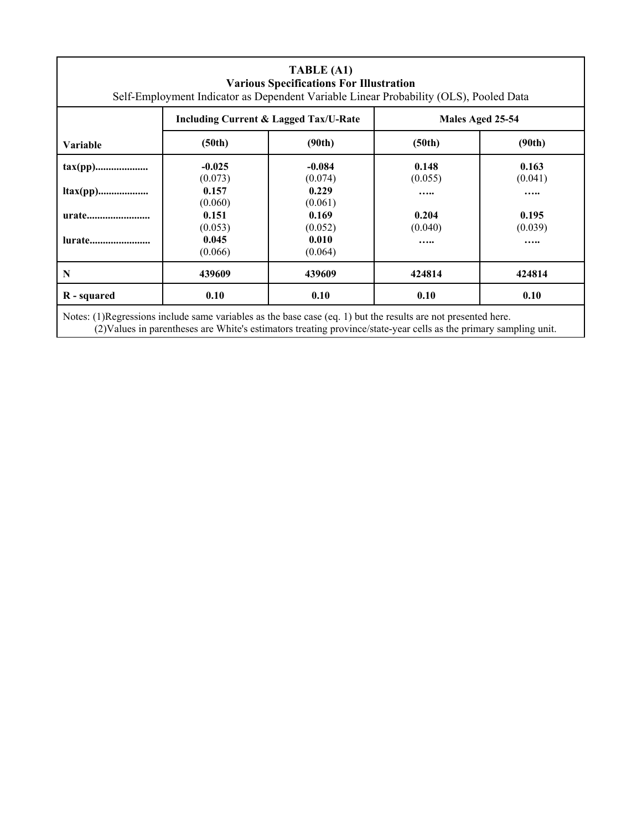| TABLE (A1)<br><b>Various Specifications For Illustration</b><br>Self-Employment Indicator as Dependent Variable Linear Probability (OLS), Pooled Data                                                                                   |                     |                                                  |                  |                  |  |  |  |  |
|-----------------------------------------------------------------------------------------------------------------------------------------------------------------------------------------------------------------------------------------|---------------------|--------------------------------------------------|------------------|------------------|--|--|--|--|
|                                                                                                                                                                                                                                         |                     | <b>Including Current &amp; Lagged Tax/U-Rate</b> |                  | Males Aged 25-54 |  |  |  |  |
| Variable                                                                                                                                                                                                                                | (50th)              | (90th)                                           | (50th)           | (90th)           |  |  |  |  |
|                                                                                                                                                                                                                                         | $-0.025$<br>(0.073) | $-0.084$<br>(0.074)                              | 0.148<br>(0.055) | 0.163<br>(0.041) |  |  |  |  |
|                                                                                                                                                                                                                                         | 0.157<br>(0.060)    | 0.229<br>(0.061)                                 |                  |                  |  |  |  |  |
| urate                                                                                                                                                                                                                                   | 0.151<br>(0.053)    | 0.169<br>(0.052)                                 | 0.204<br>(0.040) | 0.195<br>(0.039) |  |  |  |  |
| lurate                                                                                                                                                                                                                                  | 0.045<br>(0.066)    | 0.010<br>(0.064)                                 |                  |                  |  |  |  |  |
| N                                                                                                                                                                                                                                       | 439609              | 439609                                           | 424814           | 424814           |  |  |  |  |
| R - squared                                                                                                                                                                                                                             | 0.10                | 0.10                                             | 0.10             | 0.10             |  |  |  |  |
| Notes: $(1)$ Regressions include same variables as the base case $(eq. 1)$ but the results are not presented here.<br>(2) Values in parentheses are White's estimators treating province/state-year cells as the primary sampling unit. |                     |                                                  |                  |                  |  |  |  |  |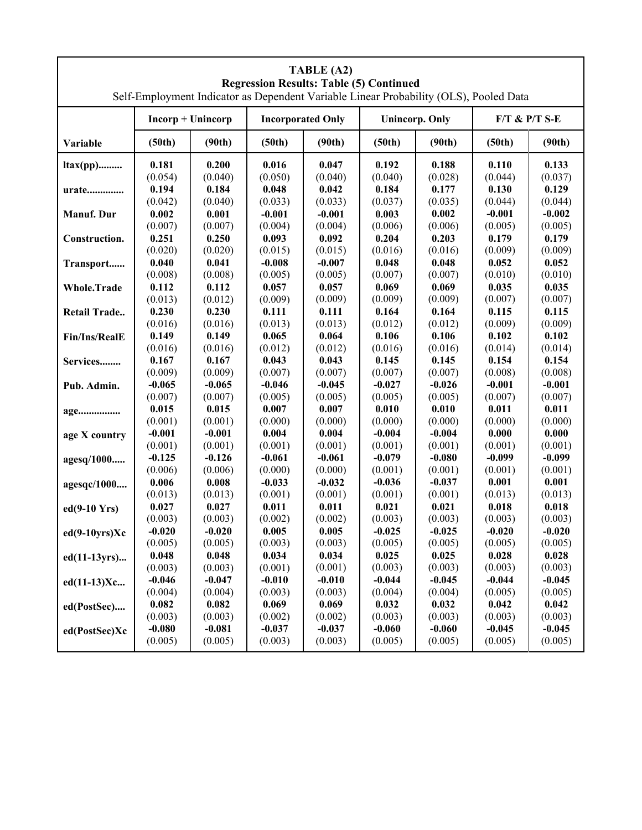| TABLE (A2)<br><b>Regression Results: Table (5) Continued</b><br>Self-Employment Indicator as Dependent Variable Linear Probability (OLS), Pooled Data |                          |                  |                          |                  |                  |                       |                  |                          |  |
|-------------------------------------------------------------------------------------------------------------------------------------------------------|--------------------------|------------------|--------------------------|------------------|------------------|-----------------------|------------------|--------------------------|--|
|                                                                                                                                                       | <b>Incorp + Unincorp</b> |                  | <b>Incorporated Only</b> |                  |                  | <b>Unincorp. Only</b> |                  | <b>F/T &amp; P/T S-E</b> |  |
| Variable                                                                                                                                              | (50th)                   | (90th)           | (50th)                   | (90th)           | (50th)           | (90th)                | (50th)           | (90th)                   |  |
| $ltax(pp)$                                                                                                                                            | 0.181<br>(0.054)         | 0.200<br>(0.040) | 0.016<br>(0.050)         | 0.047<br>(0.040) | 0.192<br>(0.040) | 0.188<br>(0.028)      | 0.110<br>(0.044) | 0.133                    |  |
| urate                                                                                                                                                 | 0.194                    | 0.184            | 0.048                    | 0.042            | 0.184            | 0.177                 | 0.130            | (0.037)<br>0.129         |  |
| <b>Manuf.</b> Dur                                                                                                                                     | (0.042)                  | (0.040)          | (0.033)                  | (0.033)          | (0.037)          | (0.035)               | (0.044)          | (0.044)                  |  |
|                                                                                                                                                       | 0.002                    | 0.001            | $-0.001$                 | $-0.001$         | 0.003            | 0.002                 | $-0.001$         | $-0.002$                 |  |
| Construction.                                                                                                                                         | (0.007)                  | (0.007)          | (0.004)                  | (0.004)          | (0.006)          | (0.006)               | (0.005)          | (0.005)                  |  |
|                                                                                                                                                       | 0.251                    | 0.250            | 0.093                    | 0.092            | 0.204            | 0.203                 | 0.179            | 0.179                    |  |
| Transport                                                                                                                                             | (0.020)                  | (0.020)          | (0.015)                  | (0.015)          | (0.016)          | (0.016)               | (0.009)          | (0.009)                  |  |
|                                                                                                                                                       | 0.040                    | 0.041            | $-0.008$                 | $-0.007$         | 0.048            | 0.048                 | 0.052            | 0.052                    |  |
| <b>Whole.Trade</b>                                                                                                                                    | (0.008)                  | (0.008)          | (0.005)                  | (0.005)          | (0.007)          | (0.007)               | (0.010)          | (0.010)                  |  |
|                                                                                                                                                       | 0.112                    | 0.112            | 0.057                    | 0.057            | 0.069            | 0.069                 | 0.035            | 0.035                    |  |
| Retail Trade                                                                                                                                          | (0.013)                  | (0.012)          | (0.009)                  | (0.009)          | (0.009)          | (0.009)               | (0.007)          | (0.007)                  |  |
|                                                                                                                                                       | 0.230                    | 0.230            | 0.111                    | 0.111            | 0.164            | 0.164                 | 0.115            | 0.115                    |  |
|                                                                                                                                                       | (0.016)                  | (0.016)          | (0.013)                  | (0.013)          | (0.012)          | (0.012)               | (0.009)          | (0.009)                  |  |
| <b>Fin/Ins/RealE</b>                                                                                                                                  | 0.149                    | 0.149            | 0.065                    | 0.064            | 0.106            | 0.106                 | 0.102            | 0.102                    |  |
|                                                                                                                                                       | (0.016)                  | (0.016)          | (0.012)                  | (0.012)          | (0.016)          | (0.016)               | (0.014)          | (0.014)                  |  |
| Services                                                                                                                                              | 0.167                    | 0.167            | 0.043                    | 0.043            | 0.145            | 0.145                 | 0.154            | 0.154                    |  |
|                                                                                                                                                       | (0.009)                  | (0.009)          | (0.007)                  | (0.007)          | (0.007)          | (0.007)               | (0.008)          | (0.008)                  |  |
| Pub. Admin.                                                                                                                                           | $-0.065$                 | $-0.065$         | $-0.046$                 | $-0.045$         | $-0.027$         | $-0.026$              | $-0.001$         | $-0.001$                 |  |
|                                                                                                                                                       | (0.007)                  | (0.007)          | (0.005)                  | (0.005)          | (0.005)          | (0.005)               | (0.007)          | (0.007)                  |  |
| age                                                                                                                                                   | 0.015                    | 0.015            | 0.007                    | 0.007            | 0.010            | 0.010                 | 0.011            | 0.011                    |  |
|                                                                                                                                                       | (0.001)                  | (0.001)          | (0.000)                  | (0.000)          | (0.000)          | (0.000)               | (0.000)          | (0.000)                  |  |
| age X country                                                                                                                                         | $-0.001$                 | $-0.001$         | 0.004                    | 0.004            | $-0.004$         | $-0.004$              | 0.000            | 0.000                    |  |
|                                                                                                                                                       | (0.001)                  | (0.001)          | (0.001)                  | (0.001)          | (0.001)          | (0.001)               | (0.001)          | (0.001)                  |  |
| agesq/1000                                                                                                                                            | $-0.125$                 | $-0.126$         | $-0.061$                 | $-0.061$         | $-0.079$         | $-0.080$              | $-0.099$         | $-0.099$                 |  |
|                                                                                                                                                       | (0.006)                  | (0.006)          | (0.000)                  | (0.000)          | (0.001)          | (0.001)               | (0.001)          | (0.001)                  |  |
| agesqc/1000                                                                                                                                           | 0.006                    | 0.008            | $-0.033$                 | $-0.032$         | $-0.036$         | $-0.037$              | 0.001            | 0.001                    |  |
|                                                                                                                                                       | (0.013)                  | (0.013)          | (0.001)                  | (0.001)          | (0.001)          | (0.001)               | (0.013)          | (0.013)                  |  |
| $ed(9-10 Yrs)$                                                                                                                                        | 0.027                    | 0.027            | 0.011                    | 0.011            | 0.021            | 0.021                 | 0.018            | 0.018                    |  |
|                                                                                                                                                       | (0.003)                  | (0.003)          | (0.002)                  | (0.002)          | (0.003)          | (0.003)               | (0.003)          | (0.003)                  |  |
| $ed(9-10yrs)Xc$                                                                                                                                       | $-0.020$                 | $-0.020$         | 0.005                    | 0.005            | $-0.025$         | $-0.025$              | $-0.020$         | $-0.020$                 |  |
|                                                                                                                                                       | (0.005)                  | (0.005)          | (0.003)                  | (0.003)          | (0.005)          | (0.005)               | (0.005)          | (0.005)                  |  |
| ed(11-13yrs)                                                                                                                                          | 0.048                    | 0.048            | 0.034                    | 0.034            | 0.025            | 0.025                 | 0.028            | 0.028                    |  |
|                                                                                                                                                       | (0.003)                  | (0.003)          | (0.001)                  | (0.001)          | (0.003)          | (0.003)               | (0.003)          | (0.003)                  |  |
| ed(11-13)Xc                                                                                                                                           | $-0.046$                 | $-0.047$         | $-0.010$                 | $-0.010$         | $-0.044$         | $-0.045$              | $-0.044$         | $-0.045$                 |  |
|                                                                                                                                                       | (0.004)                  | (0.004)          | (0.003)                  | (0.003)          | (0.004)          | (0.004)               | (0.005)          | (0.005)                  |  |
| ed(PostSec)                                                                                                                                           | 0.082                    | 0.082            | 0.069                    | 0.069            | 0.032            | 0.032                 | 0.042            | 0.042                    |  |
|                                                                                                                                                       | (0.003)                  | (0.003)          | (0.002)                  | (0.002)          | (0.003)          | (0.003)               | (0.003)          | (0.003)                  |  |
| ed(PostSec)Xc                                                                                                                                         | $-0.080$                 | $-0.081$         | $-0.037$                 | $-0.037$         | $-0.060$         | $-0.060$              | $-0.045$         | $-0.045$                 |  |
|                                                                                                                                                       | (0.005)                  | (0.005)          | (0.003)                  | (0.003)          | (0.005)          | (0.005)               | (0.005)          | (0.005)                  |  |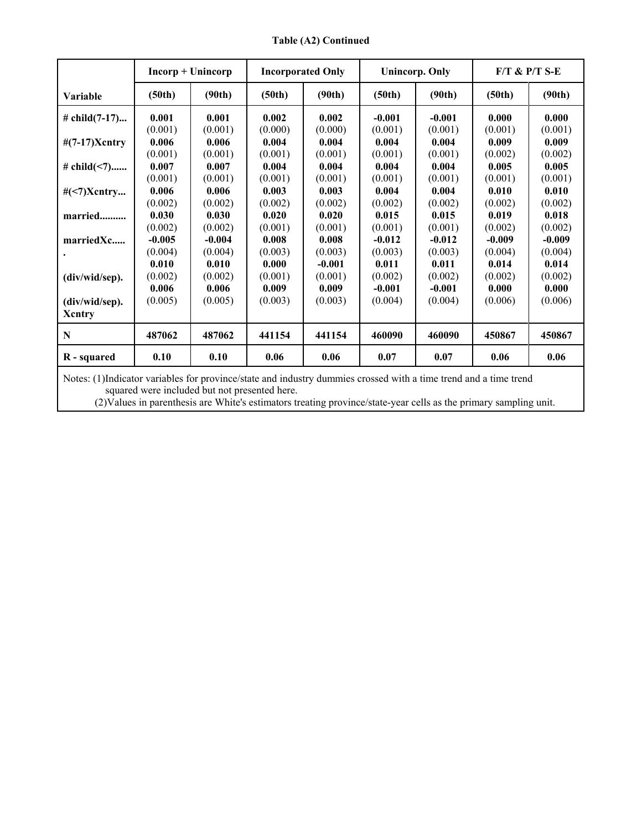|                                                                                                                                                                                                                                                                                        |          | <b>Incorp + Unincorp</b> |         | <b>Incorporated Only</b> | <b>Unincorp. Only</b> |          |          | $F/T \& P/T S-E$ |
|----------------------------------------------------------------------------------------------------------------------------------------------------------------------------------------------------------------------------------------------------------------------------------------|----------|--------------------------|---------|--------------------------|-----------------------|----------|----------|------------------|
| Variable                                                                                                                                                                                                                                                                               | (50th)   | (90th)                   | (50th)  | (90th)                   | (50th)                | (90th)   | (50th)   | (90th)           |
| # child(7-17)                                                                                                                                                                                                                                                                          | 0.001    | 0.001                    | 0.002   | 0.002                    | $-0.001$              | $-0.001$ | 0.000    | 0.000            |
|                                                                                                                                                                                                                                                                                        | (0.001)  | (0.001)                  | (0.000) | (0.000)                  | (0.001)               | (0.001)  | (0.001)  | (0.001)          |
| $\frac{\text{H}}{\text{H}}$ (7-17)X cntry                                                                                                                                                                                                                                              | 0.006    | 0.006                    | 0.004   | 0.004                    | 0.004                 | 0.004    | 0.009    | 0.009            |
|                                                                                                                                                                                                                                                                                        | (0.001)  | (0.001)                  | (0.001) | (0.001)                  | (0.001)               | (0.001)  | (0.002)  | (0.002)          |
| # child $(\leq 7)$                                                                                                                                                                                                                                                                     | 0.007    | 0.007                    | 0.004   | 0.004                    | 0.004                 | 0.004    | 0.005    | 0.005            |
|                                                                                                                                                                                                                                                                                        | (0.001)  | (0.001)                  | (0.001) | (0.001)                  | (0.001)               | (0.001)  | (0.001)  | (0.001)          |
| $\#(7)$ Xentry                                                                                                                                                                                                                                                                         | 0.006    | 0.006                    | 0.003   | 0.003                    | 0.004                 | 0.004    | 0.010    | 0.010            |
|                                                                                                                                                                                                                                                                                        | (0.002)  | (0.002)                  | (0.002) | (0.002)                  | (0.002)               | (0.002)  | (0.002)  | (0.002)          |
| married                                                                                                                                                                                                                                                                                | 0.030    | 0.030                    | 0.020   | 0.020                    | 0.015                 | 0.015    | 0.019    | 0.018            |
|                                                                                                                                                                                                                                                                                        | (0.002)  | (0.002)                  | (0.001) | (0.001)                  | (0.001)               | (0.001)  | (0.002)  | (0.002)          |
| marriedXc                                                                                                                                                                                                                                                                              | $-0.005$ | $-0.004$                 | 0.008   | 0.008                    | $-0.012$              | $-0.012$ | $-0.009$ | $-0.009$         |
|                                                                                                                                                                                                                                                                                        | (0.004)  | (0.004)                  | (0.003) | (0.003)                  | (0.003)               | (0.003)  | (0.004)  | (0.004)          |
|                                                                                                                                                                                                                                                                                        | 0.010    | 0.010                    | 0.000   | $-0.001$                 | 0.011                 | 0.011    | 0.014    | 0.014            |
| (div/wid/sep).                                                                                                                                                                                                                                                                         | (0.002)  | (0.002)                  | (0.001) | (0.001)                  | (0.002)               | (0.002)  | (0.002)  | (0.002)          |
|                                                                                                                                                                                                                                                                                        | 0.006    | 0.006                    | 0.009   | 0.009                    | $-0.001$              | $-0.001$ | 0.000    | 0.000            |
| (div/wid/sep).                                                                                                                                                                                                                                                                         | (0.005)  | (0.005)                  | (0.003) | (0.003)                  | (0.004)               | (0.004)  | (0.006)  | (0.006)          |
| Xentry                                                                                                                                                                                                                                                                                 |          |                          |         |                          |                       |          |          |                  |
| N                                                                                                                                                                                                                                                                                      | 487062   | 487062                   | 441154  | 441154                   | 460090                | 460090   | 450867   | 450867           |
| R - squared                                                                                                                                                                                                                                                                            | 0.10     | 0.10                     | 0.06    | 0.06                     | 0.07                  | 0.07     | 0.06     | 0.06             |
| Notes: (1)Indicator variables for province/state and industry dummies crossed with a time trend and a time trend<br>squared were included but not presented here.<br>(2) Values in parenthesis are White's estimators treating province/state-year cells as the primary sampling unit. |          |                          |         |                          |                       |          |          |                  |

I

**Table (A2) Continued**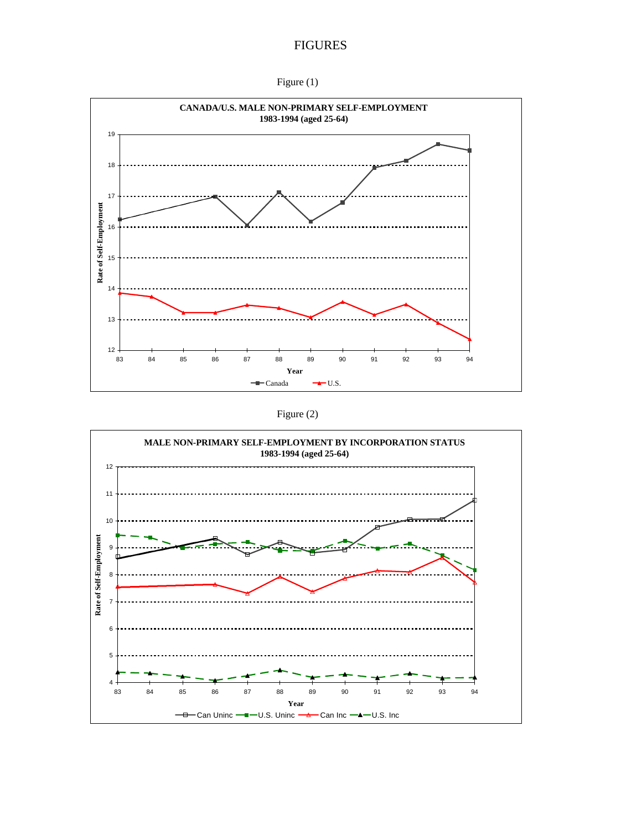## FIGURES





Figure (2)

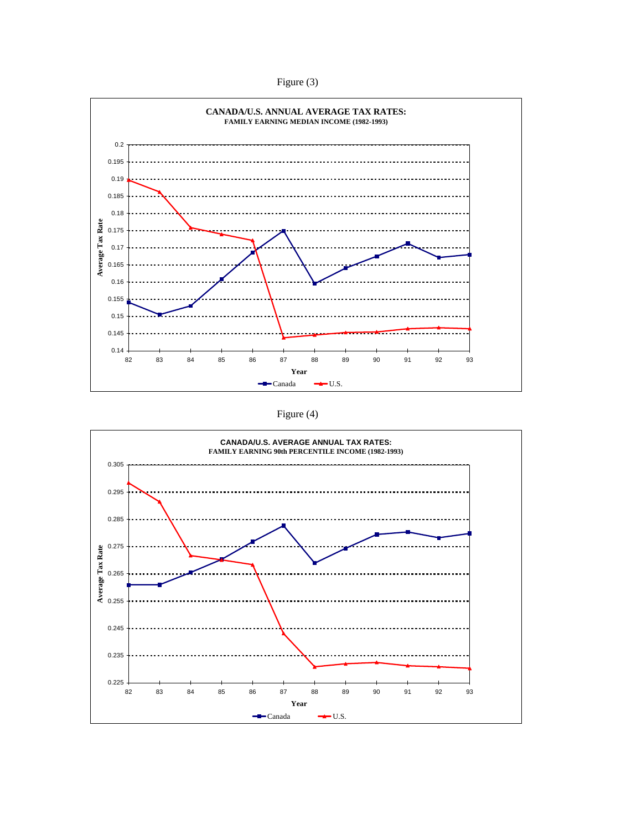Figure (3)



Figure (4)

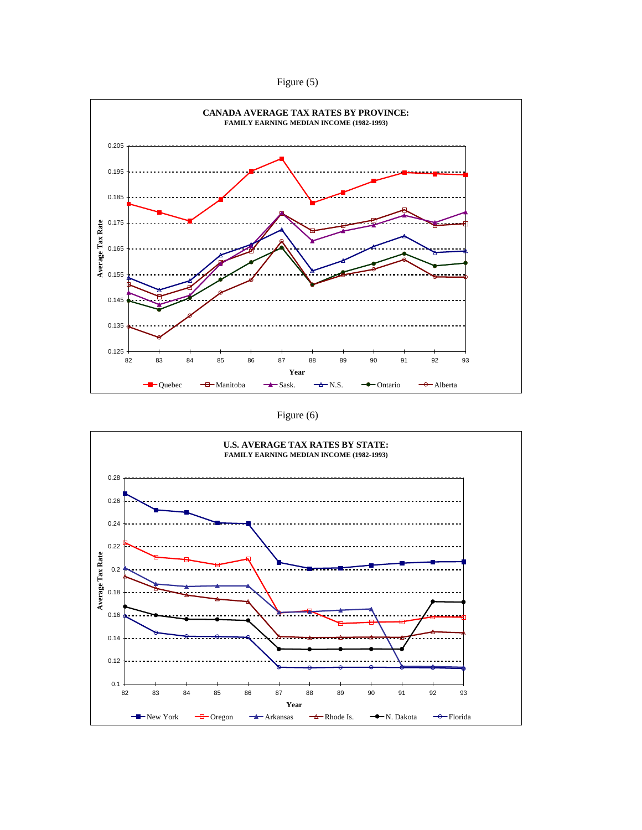Figure (5)



Figure (6)

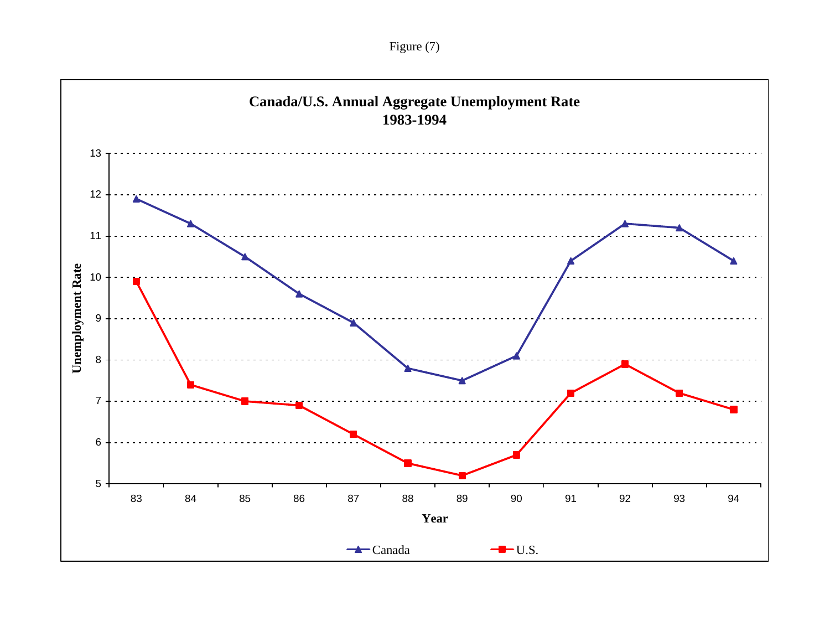Figure (7)

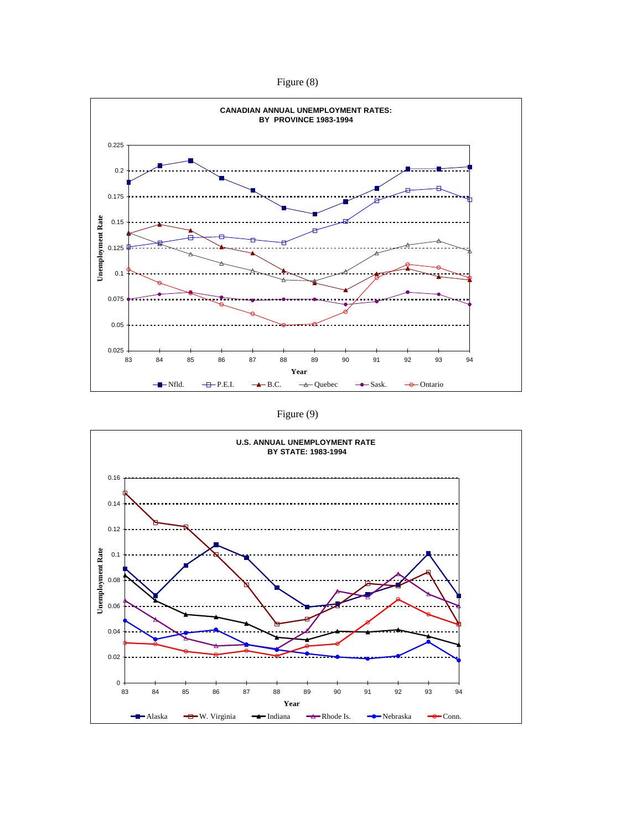Figure (8)



Figure (9)

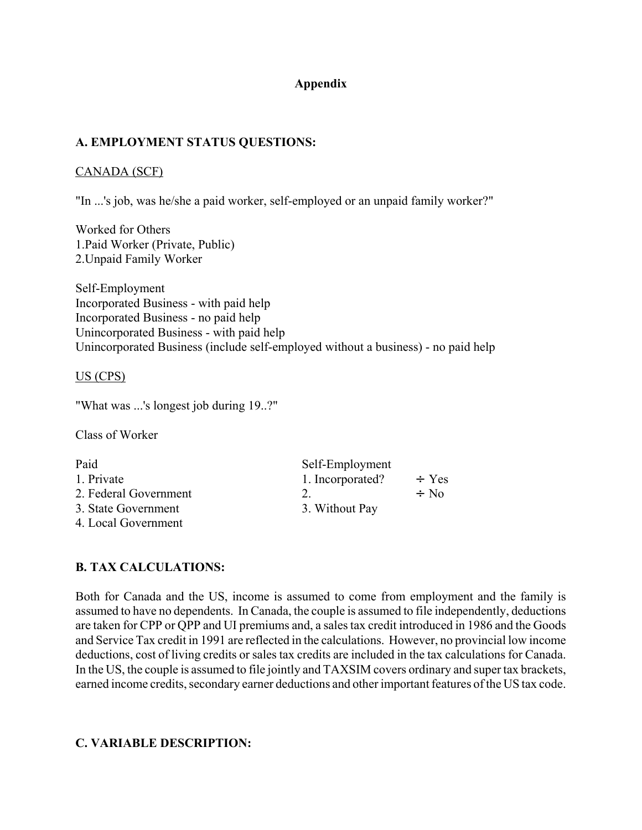# **Appendix**

# **A. EMPLOYMENT STATUS QUESTIONS:**

# CANADA (SCF)

"In ...'s job, was he/she a paid worker, self-employed or an unpaid family worker?"

Worked for Others 1.Paid Worker (Private, Public) 2.Unpaid Family Worker

Self-Employment Incorporated Business - with paid help Incorporated Business - no paid help Unincorporated Business - with paid help Unincorporated Business (include self-employed without a business) - no paid help

US (CPS)

"What was ...'s longest job during 19..?"

Class of Worker

| Paid                  | Self-Employment  |            |
|-----------------------|------------------|------------|
| 1. Private            | 1. Incorporated? | $\div$ Yes |
| 2. Federal Government |                  | $\div$ No  |
| 3. State Government   | 3. Without Pay   |            |
| 4. Local Government   |                  |            |

# **B. TAX CALCULATIONS:**

Both for Canada and the US, income is assumed to come from employment and the family is assumed to have no dependents. In Canada, the couple is assumed to file independently, deductions are taken for CPP or QPP and UI premiums and, a sales tax credit introduced in 1986 and the Goods and Service Tax credit in 1991 are reflected in the calculations. However, no provincial low income deductions, cost of living credits or sales tax credits are included in the tax calculations for Canada. In the US, the couple is assumed to file jointly and TAXSIM covers ordinary and super tax brackets, earned income credits, secondary earner deductions and other important features of the US tax code.

# **C. VARIABLE DESCRIPTION:**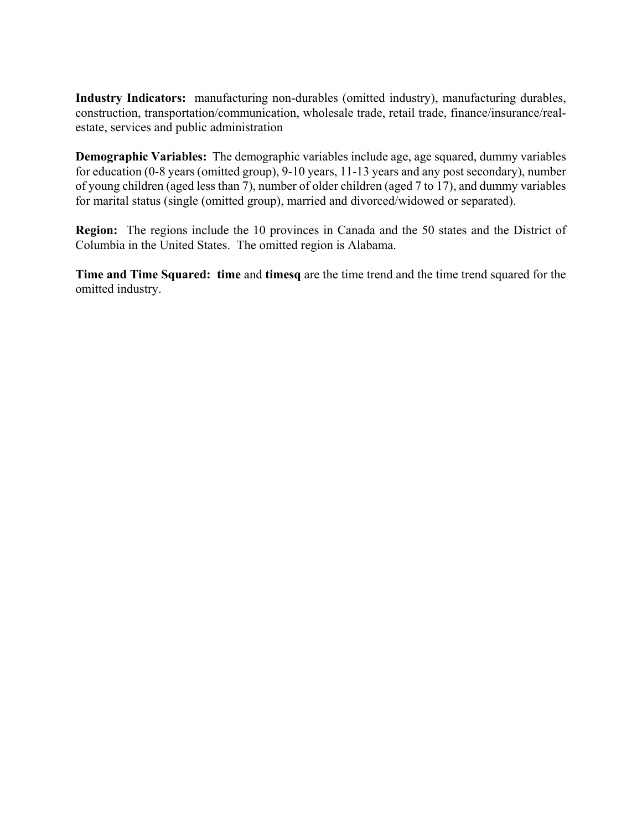**Industry Indicators:** manufacturing non-durables (omitted industry), manufacturing durables, construction, transportation/communication, wholesale trade, retail trade, finance/insurance/realestate, services and public administration

**Demographic Variables:** The demographic variables include age, age squared, dummy variables for education (0-8 years (omitted group), 9-10 years, 11-13 years and any post secondary), number of young children (aged less than 7), number of older children (aged 7 to 17), and dummy variables for marital status (single (omitted group), married and divorced/widowed or separated).

**Region:** The regions include the 10 provinces in Canada and the 50 states and the District of Columbia in the United States. The omitted region is Alabama.

**Time and Time Squared: time** and **timesq** are the time trend and the time trend squared for the omitted industry.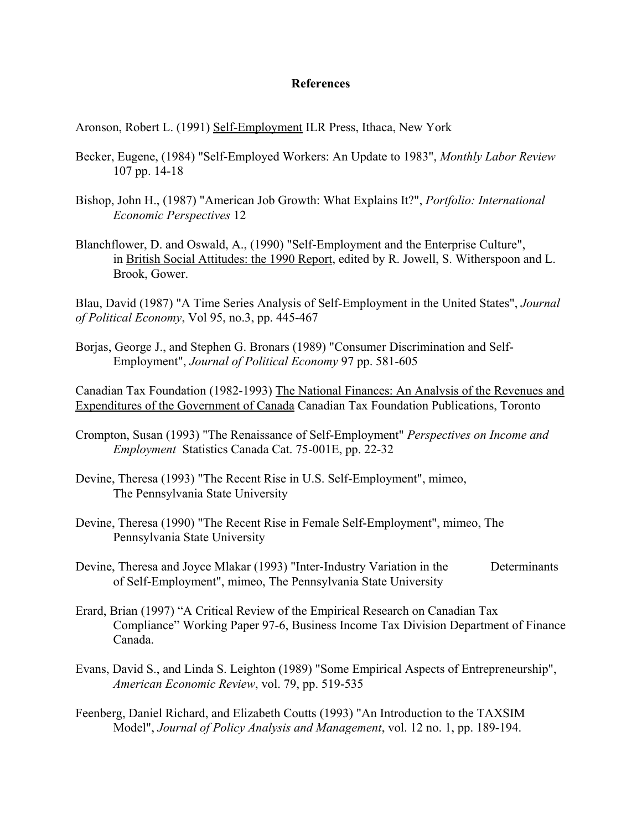# **References**

Aronson, Robert L. (1991) Self-Employment ILR Press, Ithaca, New York

- Becker, Eugene, (1984) "Self-Employed Workers: An Update to 1983", *Monthly Labor Review* 107 pp. 14-18
- Bishop, John H., (1987) "American Job Growth: What Explains It?", *Portfolio: International Economic Perspectives* 12
- Blanchflower, D. and Oswald, A., (1990) "Self-Employment and the Enterprise Culture", in British Social Attitudes: the 1990 Report, edited by R. Jowell, S. Witherspoon and L. Brook, Gower.

Blau, David (1987) "A Time Series Analysis of Self-Employment in the United States", *Journal of Political Economy*, Vol 95, no.3, pp. 445-467

Borjas, George J., and Stephen G. Bronars (1989) "Consumer Discrimination and Self-Employment", *Journal of Political Economy* 97 pp. 581-605

Canadian Tax Foundation (1982-1993) The National Finances: An Analysis of the Revenues and Expenditures of the Government of Canada Canadian Tax Foundation Publications, Toronto

- Crompton, Susan (1993) "The Renaissance of Self-Employment" *Perspectives on Income and Employment* Statistics Canada Cat. 75-001E, pp. 22-32
- Devine, Theresa (1993) "The Recent Rise in U.S. Self-Employment", mimeo, The Pennsylvania State University
- Devine, Theresa (1990) "The Recent Rise in Female Self-Employment", mimeo, The Pennsylvania State University
- Devine, Theresa and Joyce Mlakar (1993) "Inter-Industry Variation in the Determinants of Self-Employment", mimeo, The Pennsylvania State University
- Erard, Brian (1997) "A Critical Review of the Empirical Research on Canadian Tax Compliance" Working Paper 97-6, Business Income Tax Division Department of Finance Canada.
- Evans, David S., and Linda S. Leighton (1989) "Some Empirical Aspects of Entrepreneurship", *American Economic Review*, vol. 79, pp. 519-535
- Feenberg, Daniel Richard, and Elizabeth Coutts (1993) "An Introduction to the TAXSIM Model", *Journal of Policy Analysis and Management*, vol. 12 no. 1, pp. 189-194.